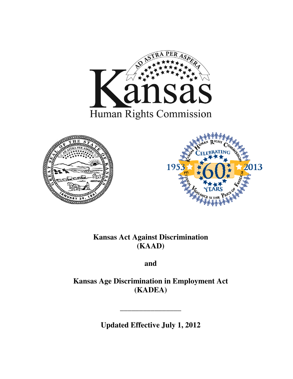





# **Kansas Act Against Discrimination (KAAD)**

**and** 

**Kansas Age Discrimination in Employment Act (KADEA)** 

**Updated Effective July 1, 2012**

**\_\_\_\_\_\_\_\_\_\_\_\_\_\_\_\_**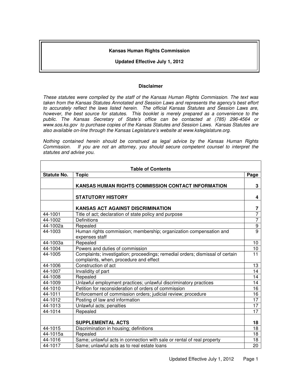# **Kansas Human Rights Commission**

## **Updated Effective July 1, 2012**

#### **Disclaimer**

These statutes were compiled by the staff of the Kansas Human Rights Commission. The text was taken from the Kansas Statutes Annotated and Session Laws and represents the agency's best effort to accurately reflect the laws listed herein. The official Kansas Statutes and Session Laws are, however, the best source for statutes. This booklet is merely prepared as a convenience to the public. The Kansas Secretary of State's office can be contacted at (785) 296-4564 or www.sos.ks.gov to purchase copies of the Kansas Statutes and Session Laws. Kansas Statutes are also available on-line through the Kansas Legislature's website at www.kslegislature.org.

Nothing contained herein should be construed as legal advice by the Kansas Human Rights Commission. If you are not an attorney, you should secure competent counsel to interpret the statutes and advise you.

| <b>Table of Contents</b> |                                                                                                                         |                         |  |
|--------------------------|-------------------------------------------------------------------------------------------------------------------------|-------------------------|--|
| Statute No.              | <b>Topic</b>                                                                                                            | Page                    |  |
|                          | KANSAS HUMAN RIGHTS COMMISSION CONTACT INFORMATION                                                                      | 3                       |  |
|                          | <b>STATUTORY HISTORY</b>                                                                                                | 4                       |  |
|                          | <b>KANSAS ACT AGAINST DISCRIMINATION</b>                                                                                | $\overline{\mathbf{z}}$ |  |
| 44-1001                  | Title of act; declaration of state policy and purpose                                                                   | 7                       |  |
| 44-1002                  | <b>Definitions</b>                                                                                                      | $\overline{7}$          |  |
| 44-1002a                 | Repealed                                                                                                                | $\overline{9}$          |  |
| 44-1003                  | Human rights commission; membership; organization compensation and<br>expenses staff                                    | $\overline{9}$          |  |
| 44-1003a                 | Repealed                                                                                                                | 10                      |  |
| 44-1004                  | Powers and duties of commission                                                                                         | 10                      |  |
| 44-1005                  | Complaints; investigation; proceedings; remedial orders; dismissal of certain<br>complaints, when, procedure and effect | 11                      |  |
| 44-1006                  | Construction of act                                                                                                     | 13                      |  |
| 44-1007                  | Invalidity of part                                                                                                      | 14                      |  |
| 44-1008                  | Repealed                                                                                                                | 14                      |  |
| 44-1009                  | Unlawful employment practices; unlawful discriminatory practices                                                        | 14                      |  |
| 44-1010                  | Petition for reconsideration of orders of commission                                                                    | 16                      |  |
| 44-1011                  | Enforcement of commission orders; judicial review; procedure                                                            | 16                      |  |
| 44-1012                  | Posting of law and information                                                                                          | $\overline{17}$         |  |
| 44-1013                  | Unlawful acts; penalties                                                                                                | 17                      |  |
| 44-1014                  | Repealed                                                                                                                | 17                      |  |
|                          | <b>SUPPLEMENTAL ACTS</b>                                                                                                | 18                      |  |
| 44-1015                  | Discrimination in housing; definitions                                                                                  | 18                      |  |
| 44-1015a                 | Repealed                                                                                                                | 18                      |  |
| 44-1016                  | Same; unlawful acts in connection with sale or rental of real property                                                  | 18                      |  |
| 44-1017                  | Same; unlawful acts as to real estate loans                                                                             | 20                      |  |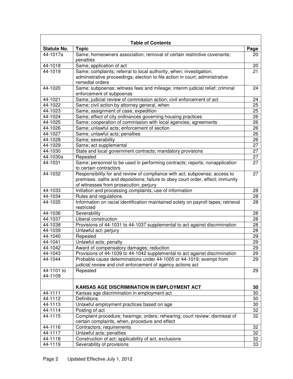| <b>Table of Contents</b> |                                                                                                                                                                                                        |          |  |  |
|--------------------------|--------------------------------------------------------------------------------------------------------------------------------------------------------------------------------------------------------|----------|--|--|
| <b>Statute No.</b>       | <b>Topic</b>                                                                                                                                                                                           | Page     |  |  |
| 44-1017a                 | Same; homeowners association; removal of certain restrictive covenants;<br>penalties                                                                                                                   | 20       |  |  |
| 44-1018                  | Same; application of act                                                                                                                                                                               | 20       |  |  |
| 44-1019                  | Same; complaints; referral to local authority, when; investigation;<br>administrative proceedings; election to file action in court; administrative<br>remedial orders                                 | 21       |  |  |
| 44-1020                  | Same; subpoenas; witness fees and mileage; interim judicial relief; criminal<br>enforcement of subpoenas                                                                                               | 24       |  |  |
| 44-1021                  | Same; judicial review of commission action; civil enforcement of act                                                                                                                                   | 24       |  |  |
| 44-1022                  | Same; civil action by attorney general, when                                                                                                                                                           | 25       |  |  |
| 44-1023                  | Same; assignment of case; expedition                                                                                                                                                                   | 25       |  |  |
| 44-1024                  | Same; effect of city ordinances governing housing practices                                                                                                                                            | 26       |  |  |
| 44-1025                  | Same; cooperation of commission with local agencies; agreements                                                                                                                                        | 26       |  |  |
| 44-1026                  | Same; unlawful acts; enforcement of section                                                                                                                                                            | 26       |  |  |
| 44-1027                  | Same; unlawful acts; penalties                                                                                                                                                                         | 26       |  |  |
| 44-1028                  | Same; severability                                                                                                                                                                                     | 26       |  |  |
| 44-1029                  | Same; act supplemental                                                                                                                                                                                 | 27       |  |  |
| 44-1030                  | State and local government contracts; mandatory provisions                                                                                                                                             | 27       |  |  |
| 44-1030a                 | Repealed                                                                                                                                                                                               | 27       |  |  |
| 44-1031                  | Same; personnel to be used in performing contracts; reports; nonapplication<br>to certain contractors                                                                                                  | 27       |  |  |
| 44-1032                  | Responsibility for and review of compliance with act; subpoenas; access to<br>premises; oaths and depositions; failure to obey court order, effect; immunity<br>of witnesses from prosecution; perjury | 27       |  |  |
| 44-1033                  | Initiation and processing complaints; use of information                                                                                                                                               | 28       |  |  |
| 44-1034                  | Rules and regulations                                                                                                                                                                                  | 28       |  |  |
| 44-1035                  | Information on racial identification maintained solely on payroll tapes; retrieval<br>restricted                                                                                                       | 28       |  |  |
| 44-1036                  | Severability                                                                                                                                                                                           | 28       |  |  |
| 44-1037                  | Liberal construction                                                                                                                                                                                   | 28       |  |  |
| 44-1038                  | Provisions of 44-1031 to 44-1037 supplemental to act against discrimination                                                                                                                            | 28       |  |  |
| 44-1039                  | Unlawful act; perjury                                                                                                                                                                                  | 28       |  |  |
| 44-1040                  | Repealed                                                                                                                                                                                               | 29       |  |  |
| 44-1041                  | Unlawful acts; penalty                                                                                                                                                                                 | 29       |  |  |
| 44-1042                  | Award of compensatory damages; reduction                                                                                                                                                               | 29       |  |  |
| 44-1043                  | Provisions of 44-1039 to 44-1042 supplemental to act against discrimination                                                                                                                            | 29       |  |  |
| 44-1044                  | Probable cause determinations under 44-1005 or 44-1019; exempt from<br>judicial review and civil enforcement of agency actions act                                                                     | 29       |  |  |
| 44-1101 to<br>44-1109    | Repealed                                                                                                                                                                                               | 29       |  |  |
|                          | <b>KANSAS AGE DISCRIMINATION IN EMPLOYMENT ACT</b>                                                                                                                                                     | 30       |  |  |
| 44-1111                  | Kansas age discrimination in employment act                                                                                                                                                            | 30       |  |  |
| 44-1112                  | <b>Definitions</b>                                                                                                                                                                                     | 30       |  |  |
| 44-1113                  | Unlawful employment practices based on age                                                                                                                                                             | 30       |  |  |
| 44-1114                  | Posting of act                                                                                                                                                                                         | 32       |  |  |
| 44-1115                  | Complaint procedure; hearings; orders; rehearing; court review; dismissal of                                                                                                                           | 32       |  |  |
|                          | certain complaints, when, procedure and effect                                                                                                                                                         |          |  |  |
| 44-1116                  | Contractors; requirements                                                                                                                                                                              | 32       |  |  |
| 44-1117                  | Unlawful acts; penalties                                                                                                                                                                               | 32       |  |  |
| 44-1118<br>44-1119       | Construction of act; applicability of act, exclusions<br>Severability of provisions                                                                                                                    | 32<br>33 |  |  |
|                          |                                                                                                                                                                                                        |          |  |  |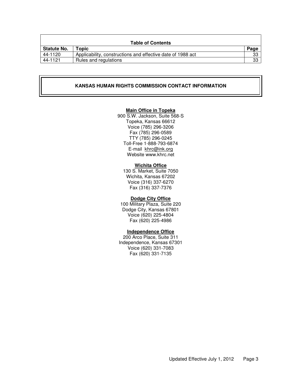| <b>Table of Contents</b> |                                                             |      |  |  |
|--------------------------|-------------------------------------------------------------|------|--|--|
| <b>Statute No.</b>       | <b>Topic</b>                                                | Page |  |  |
| 44-1120                  | Applicability, constructions and effective date of 1988 act | 33   |  |  |
| 44-1121                  | Rules and regulations                                       | 33   |  |  |

#### **KANSAS HUMAN RIGHTS COMMISSION CONTACT INFORMATION**

# **Main Office in Topeka**

900 S.W. Jackson, Suite 568-S Topeka, Kansas 66612 Voice (785) 296-3206 Fax (785) 296-0589 TTY (785) 296-0245 Toll-Free 1-888-793-6874 E-mail khrc@ink.org Website www.khrc.net

#### **Wichita Office**

130 S. Market, Suite 7050 Wichita, Kansas 67202 Voice (316) 337-6270 Fax (316) 337-7376

#### **Dodge City Office**

100 Military Plaza, Suite 220 Dodge City, Kansas 67801 Voice (620) 225-4804 Fax (620) 225-4986

# **Independence Office**

200 Arco Place, Suite 311 Independence, Kansas 67301 Voice (620) 331-7083 Fax (620) 331-7135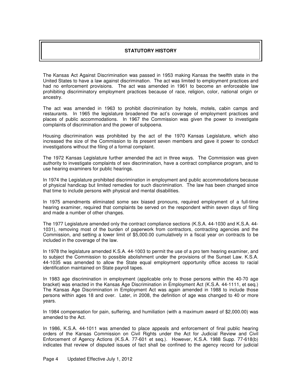# **STATUTORY HISTORY**

The Kansas Act Against Discrimination was passed in 1953 making Kansas the twelfth state in the United States to have a law against discrimination. The act was limited to employment practices and had no enforcement provisions. The act was amended in 1961 to become an enforceable law prohibiting discriminatory employment practices because of race, religion, color, national origin or ancestry.

The act was amended in 1963 to prohibit discrimination by hotels, motels, cabin camps and restaurants. In 1965 the legislature broadened the act's coverage of employment practices and places of public accommodations. In 1967 the Commission was given the power to investigate complaints of discrimination and the power of subpoena.

Housing discrimination was prohibited by the act of the 1970 Kansas Legislature, which also increased the size of the Commission to its present seven members and gave it power to conduct investigations without the filing of a formal complaint.

The 1972 Kansas Legislature further amended the act in three ways. The Commission was given authority to investigate complaints of sex discrimination, have a contract compliance program, and to use hearing examiners for public hearings.

In 1974 the Legislature prohibited discrimination in employment and public accommodations because of physical handicap but limited remedies for such discrimination. The law has been changed since that time to include persons with physical and mental disabilities.

In 1975 amendments eliminated some sex biased pronouns, required employment of a full-time hearing examiner, required that complaints be served on the respondent within seven days of filing and made a number of other changes.

The 1977 Legislature amended only the contract compliance sections (K.S.A. 44-1030 and K.S.A. 44- 1031), removing most of the burden of paperwork from contractors, contracting agencies and the Commission, and setting a lower limit of \$5,000.00 cumulatively in a fiscal year on contracts to be included in the coverage of the law.

In 1978 the legislature amended K.S.A. 44-1003 to permit the use of a pro tem hearing examiner, and to subject the Commission to possible abolishment under the provisions of the Sunset Law. K.S.A. 44-1035 was amended to allow the State equal employment opportunity office access to racial identification maintained on State payroll tapes.

In 1983 age discrimination in employment (applicable only to those persons within the 40-70 age bracket) was enacted in the Kansas Age Discrimination in Employment Act (K.S.A. 44-1111, et seq.) The Kansas Age Discrimination in Employment Act was again amended in 1988 to include those persons within ages 18 and over. Later, in 2008, the definition of age was changed to 40 or more years.

In 1984 compensation for pain, suffering, and humiliation (with a maximum award of \$2,000.00) was amended to the Act.

In 1986, K.S.A. 44-1011 was amended to place appeals and enforcement of final public hearing orders of the Kansas Commission on Civil Rights under the Act for Judicial Review and Civil Enforcement of Agency Actions (K.S.A. 77-601 et seq.). However, K.S.A. 1988 Supp. 77-618(b) indicates that review of disputed issues of fact shall be confined to the agency record for judicial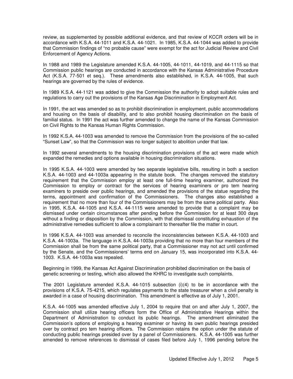review, as supplemented by possible additional evidence, and that review of KCCR orders will be in accordance with K.S.A. 44-1011 and K.S.A. 44-1021. In 1985, K.S.A. 44-1044 was added to provide that Commission findings of "no probable cause" were exempt for the act for Judicial Review and Civil Enforcement of Agency Actions.

In 1988 and 1989 the Legislature amended K.S.A. 44-1005, 44-1011, 44-1019, and 44-1115 so that Commission public hearings are conducted in accordance with the Kansas Administrative Procedure Act (K.S.A. 77-501 et seq.). These amendments also established, in K.S.A. 44-1005, that such hearings are governed by the rules of evidence.

In 1989 K.S.A. 44-1121 was added to give the Commission the authority to adopt suitable rules and regulations to carry out the provisions of the Kansas Age Discrimination in Employment Act.

In 1991, the act was amended so as to prohibit discrimination in employment, public accommodations and housing on the basis of disability, and to also prohibit housing discrimination on the basis of familial status. In 1991 the act was further amended to change the name of the Kansas Commission on Civil Rights to the Kansas Human Rights Commission.

In 1992 K.S.A. 44-1003 was amended to remove the Commission from the provisions of the so-called "Sunset Law", so that the Commission was no longer subject to abolition under that law.

In 1992 several amendments to the housing discrimination provisions of the act were made which expanded the remedies and options available in housing discrimination situations.

In 1995 K.S.A. 44-1003 were amended by two separate legislative bills, resulting in both a section K.S.A. 44-1003 and 44-1003a appearing in the statute book. The changes removed the statutory requirement that the Commission employ at least one full-time hearing examiner, authorized the Commission to employ or contract for the services of hearing examiners or pro tem hearing examiners to preside over public hearings, and amended the provisions of the statue regarding the terms, appointment and confirmation of the Commissioners. The changes also established a requirement that no more than four of the Commissioners may be from the same political party. Also in 1995, K.S.A. 44-1005 and K.S.A. 44-1115 were amended to provide that a complaint may be dismissed under certain circumstances after pending before the Commission for at least 300 days without a finding or disposition by the Commission, with that dismissal constituting exhaustion of the administrative remedies sufficient to allow a complainant to thereafter file the matter in court.

In 1996 K.S.A. 44-1003 was amended to reconcile the inconsistencies between K.S.A. 44-1003 and K.S.A. 44-1003a. The language in K.S.A. 44-1003a providing that no more than four members of the Commission shall be from the same political party, that a Commissioner may not act until confirmed by the Senate, and the Commissioners' terms end on January 15, was incorporated into K.S.A. 44- 1003. K.S.A. 44-1003a was repealed.

Beginning in 1999, the Kansas Act Against Discrimination prohibited discrimination on the basis of genetic screening or testing, which also allowed the KHRC to investigate such complaints.

The 2001 Legislature amended K.S.A. 44-1015 subsection (i)(4) to be in accordance with the provisions of K.S.A. 75-4215, which regulates payments to the state treasurer when a civil penalty is awarded in a case of housing discrimination. This amendment is effective as of July 1, 2001.

K.S.A. 44-1005 was amended effective July 1, 2004 to require that on and after July 1, 2007, the Commission shall utilize hearing officers form the Office of Administrative Hearings within the Department of Administration to conduct its public hearings. The amendment eliminated the Commission's options of employing a hearing examiner or having its own public hearings presided over by contract pro tem hearing officers. The Commission retains the option under the statute of conducting public hearings presided over by a panel of Commissioners. K.S.A. 44-1005 was further amended to remove references to dismissal of cases filed before July 1, 1996 pending before the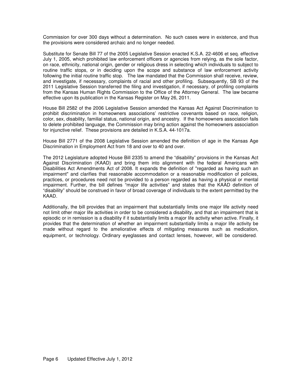Commission for over 300 days without a determination. No such cases were in existence, and thus the provisions were considered archaic and no longer needed.

Substitute for Senate Bill 77 of the 2005 Legislative Session enacted K.S.A. 22-4606 et seq. effective July 1, 2005, which prohibited law enforcement officers or agencies from relying, as the sole factor, on race, ethnicity, national origin, gender or religious dress in selecting which individuals to subject to routine traffic stops, or in deciding upon the scope and substance of law enforcement activity following the initial routine traffic stop. The law mandated that the Commission shall receive, review, and investigate, if necessary, complaints of racial and other profiling. Subsequently, SB 93 of the 2011 Legislative Session transferred the filing and investigation, if necessary, of profiling complaints from the Kansas Human Rights Commission to the Office of the Attorney General. The law became effective upon its publication in the Kansas Register on May 26, 2011.

House Bill 2582 of the 2006 Legislative Session amended the Kansas Act Against Discrimination to prohibit discrimination in homeowners associations' restrictive covenants based on race, religion, color, sex, disability, familial status, national origin, and ancestry. If the homeowners association fails to delete prohibited language, the Commission may bring action against the homeowners association for injunctive relief. These provisions are detailed in K.S.A. 44-1017a.

House Bill 2771 of the 2008 Legislative Session amended the definition of age in the Kansas Age Discrimination in Employment Act from 18 and over to 40 and over.

The 2012 Legislature adopted House Bill 2335 to amend the "disability" provisions in the Kansas Act Against Discrimination (KAAD) and bring them into alignment with the federal Americans with Disabilities Act Amendments Act of 2008. It expands the definition of "regarded as having such an impairment" and clarifies that reasonable accommodation or a reasonable modification of policies, practices, or procedures need not be provided to a person regarded as having a physical or mental impairment. Further, the bill defines "major life activities" and states that the KAAD definition of "disability" should be construed in favor of broad coverage of individuals to the extent permitted by the KAAD.

Additionally, the bill provides that an impairment that substantially limits one major life activity need not limit other major life activities in order to be considered a disability, and that an impairment that is episodic or in remission is a disability if it substantially limits a major life activity when active. Finally, it provides that the determination of whether an impairment substantially limits a major life activity be made without regard to the ameliorative effects of mitigating measures such as medication, equipment, or technology. Ordinary eyeglasses and contact lenses, however, will be considered.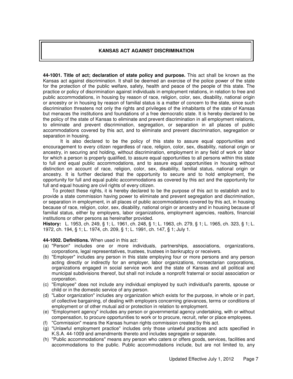# **KANSAS ACT AGAINST DISCRIMINATION**

**44-1001. Title of act; declaration of state policy and purpose.** This act shall be known as the Kansas act against discrimination. It shall be deemed an exercise of the police power of the state for the protection of the public welfare, safety, health and peace of the people of this state. The practice or policy of discrimination against individuals in employment relations, in relation to free and public accommodations, in housing by reason of race, religion, color, sex, disability, national origin or ancestry or in housing by reason of familial status is a matter of concern to the state, since such discrimination threatens not only the rights and privileges of the inhabitants of the state of Kansas but menaces the institutions and foundations of a free democratic state. It is hereby declared to be the policy of the state of Kansas to eliminate and prevent discrimination in all employment relations, to eliminate and prevent discrimination, segregation, or separation in all places of public accommodations covered by this act, and to eliminate and prevent discrimination, segregation or separation in housing.

It is also declared to be the policy of this state to assure equal opportunities and encouragement to every citizen regardless of race, religion, color, sex, disability, national origin or ancestry, in securing and holding, without discrimination, employment in any field of work or labor for which a person is properly qualified, to assure equal opportunities to all persons within this state to full and equal public accommodations, and to assure equal opportunities in housing without distinction on account of race, religion, color, sex, disability, familial status, national origin or ancestry. It is further declared that the opportunity to secure and to hold employment, the opportunity for full and equal public accommodations as covered by this act and the opportunity for full and equal housing are civil rights of every citizen.

 To protect these rights, it is hereby declared to be the purpose of this act to establish and to provide a state commission having power to eliminate and prevent segregation and discrimination, or separation in employment, in all places of public accommodations covered by this act, in housing because of race, religion, color, sex, disability, national origin or ancestry and in housing because of familial status, either by employers, labor organizations, employment agencies, realtors, financial institutions or other persons as hereinafter provided.

**History:** L. 1953, ch. 249, § 1; L. 1961, ch. 248, § 1; L. 1963, ch. 279, § 1; L. 1965, ch. 323, § 1; L. 1972, ch. 194, § 1; L. 1974, ch. 209, § 1; L. 1991, ch. 147, § 1; July 1.

#### **44-1002. Definitions.** When used in this act:

- (a) "Person" includes one or more individuals, partnerships, associations, organizations, corporations, legal representatives, trustees, trustees in bankruptcy or receivers.
- (b) "Employer" includes any person in this state employing four or more persons and any person acting directly or indirectly for an employer, labor organizations, nonsectarian corporations, organizations engaged in social service work and the state of Kansas and all political and municipal subdivisions thereof, but shall not include a nonprofit fraternal or social association or corporation.
- (c) "Employee" does not include any individual employed by such individual's parents, spouse or child or in the domestic service of any person.
- (d) "Labor organization" includes any organization which exists for the purpose, in whole or in part, of collective bargaining, of dealing with employers concerning grievances, terms or conditions of employment or of other mutual aid or protection in relation to employment.
- (e) "Employment agency" includes any person or governmental agency undertaking, with or without compensation, to procure opportunities to work or to procure, recruit, refer or place employees.
- (f) "Commission" means the Kansas human rights commission created by this act.
- (g) "Unlawful employment practice" includes only those unlawful practices and acts specified in K.S.A. 44-1009 and amendments thereto and includes segregate or separate.
- (h) "Public accommodations" means any person who caters or offers goods, services, facilities and accommodations to the public. Public accommodations include, but are not limited to, any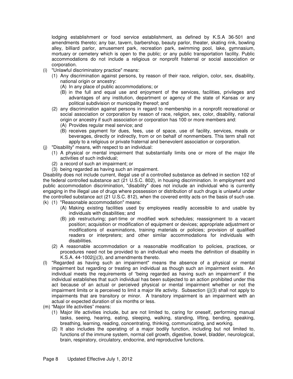lodging establishment or food service establishment, as defined by K.S.A 36-501 and amendments thereto; any bar, tavern, barbershop, beauty parlor, theater, skating rink, bowling alley, billiard parlor, amusement park, recreation park, swimming pool, lake, gymnasium, mortuary or cemetery which is open to the public; or any public transportation facility. Public accommodations do not include a religious or nonprofit fraternal or social association or corporation.

- (i) "Unlawful discriminatory practice" means:
	- (1) Any discrimination against persons, by reason of their race, religion, color, sex, disability, national origin or ancestry:
		- (A) In any place of public accommodations; or
		- (B) in the full and equal use and enjoyment of the services, facilities, privileges and advantages of any institution, department or agency of the state of Kansas or any political subdivision or municipality thereof; and
	- (2) any discrimination against persons in regard to membership in a nonprofit recreational or social association or corporation by reason of race, religion, sex, color, disability, national origin or ancestry if such association or corporation has 100 or more members and:
		- (A) Provides regular meal service; and
		- (B) receives payment for dues, fees, use of space, use of facility, services, meals or beverages, directly or indirectly, from or on behalf of nonmembers. This term shall not apply to a religious or private fraternal and benevolent association or corporation.
- (j) "Disability" means, with respect to an individual:
	- (1) A physical or mental impairment that substantially limits one or more of the major life activities of such individual;
	- (2) a record of such an impairment; or
	- (3) being regarded as having such an impairment.

Disability does not include current, illegal use of a controlled substance as defined in section 102 of the federal controlled substance act (21 U.S.C. 802), in housing discrimination. In employment and public accommodation discrimination, "disability" does not include an individual who is currently engaging in the illegal use of drugs where possession or distribution of such drugs is unlawful under the controlled substance act (21 U.S.C. 812), when the covered entity acts on the basis of such use.

- (k) (1) "Reasonable accommodation" means:
	- (A) Making existing facilities used by employees readily accessible to and usable by individuals with disabilities; and
	- (B) job restructuring; part-time or modified work schedules; reassignment to a vacant position; acquisition or modification of equipment or devices; appropriate adjustment or modifications of examinations, training materials or policies; provision of qualified readers or interpreters; and other similar accommodations for individuals with disabilities.
	- (2) A reasonable accommodation or a reasonable modification to policies, practices, or procedures need not be provided to an individual who meets the definition of disability in K.S.A. 44-1002(j)(3), and amendments thereto.
- (l) "Regarded as having such an impairment" means the absence of a physical or mental impairment but regarding or treating an individual as though such an impairment exists. An individual meets the requirements of "being regarded as having such an impairment" if the individual establishes that such individual has been subjected to an action prohibited under this act because of an actual or perceived physical or mental impairment whether or not the impairment limits or is perceived to limit a major life activity. Subsection (j)(3) shall not apply to impairments that are transitory or minor. A transitory impairment is an impairment with an actual or expected duration of six months or less.
- (m) "Major life activities" means:
	- (1) Major life activities include, but are not limited to, caring for oneself, performing manual tasks, seeing, hearing, eating, sleeping, walking, standing, lifting, bending, speaking, breathing, learning, reading, concentrating, thinking, communicating, and working.
	- (2) It also includes the operating of a major bodily function, including but not limited to, functions of the immune system, normal cell growth, digestive, bowel, bladder, neurological, brain, respiratory, circulatory, endocrine, and reproductive functions.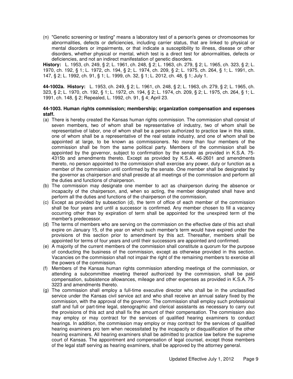(n) "Genetic screening or testing" means a laboratory test of a person's genes or chromosomes for abnormalities, defects or deficiencies, including carrier status, that are linked to physical or mental disorders or impairments, or that indicate a susceptibility to illness, disease or other disorders, whether physical or mental, which test is a direct test for abnormalities, defects or deficiencies, and not an indirect manifestation of genetic disorders.

**History:** L. 1953, ch. 249, § 2; L. 1961, ch. 248, § 2; L. 1963, ch. 279, § 2; L. 1965, ch. 323, § 2; L. 1970, ch. 192, § 1; L. 1972, ch. 194, § 2; L. 1974, ch. 209, § 2; L. 1975, ch. 264, § 1; L. 1991, ch. 147, § 2; L. 1992, ch. 91, § 1; L. 1999, ch. 32, § 1; L. 2012, ch. 48, § 1; July 1.

**44-1002a. History:** L. 1953, ch. 249, § 2; L. 1961, ch. 248, § 2; L. 1963, ch. 279, § 2; L. 1965, ch. 323, § 2; L. 1970, ch. 192, § 1; L. 1972, ch. 194, § 2; L. 1974, ch. 209, § 2; L. 1975, ch. 264, § 1; L. 1991, ch. 148, § 2; Repealed, L. 1992, ch. 91, § 4; April 23.

## **44-1003. Human rights commission; membership; organization compensation and expenses staff.**

- (a) There is hereby created the Kansas human rights commission. The commission shall consist of seven members, two of whom shall be representative of industry, two of whom shall be representative of labor, one of whom shall be a person authorized to practice law in this state, one of whom shall be a representative of the real estate industry, and one of whom shall be appointed at large, to be known as commissioners. No more than four members of the commission shall be from the same political party. Members of the commission shall be appointed by the governor, subject to confirmation by the senate as provided in K.S.A. 75- 4315b and amendments thereto. Except as provided by K.S.A. 46-2601 and amendments thereto, no person appointed to the commission shall exercise any power, duty or function as a member of the commission until confirmed by the senate. One member shall be designated by the governor as chairperson and shall preside at all meetings of the commission and perform all the duties and functions of chairperson.
- (b) The commission may designate one member to act as chairperson during the absence or incapacity of the chairperson, and, when so acting, the member designated shall have and perform all the duties and functions of the chairperson of the commission.
- (c) Except as provided by subsection (d), the term of office of each member of the commission shall be four years and until a successor is confirmed. Any member chosen to fill a vacancy occurring other than by expiration of term shall be appointed for the unexpired term of the member's predecessor.
- (d) The terms of members who are serving on the commission on the effective date of this act shall expire on January 15, of the year on which such member's term would have expired under the provisions of this section prior to amendment by this act. Thereafter, members shall be appointed for terms of four years and until their successors are appointed and confirmed.
- (e) A majority of the current members of the commission shall constitute a quorum for the purpose of conducting the business of the commission, except as otherwise provided in this section. Vacancies on the commission shall not impair the right of the remaining members to exercise all the powers of the commission.
- (f) Members of the Kansas human rights commission attending meetings of the commission, or attending a subcommittee meeting thereof authorized by the commission, shall be paid compensation, subsistence allowances, mileage and other expenses as provided in K.S.A. 75- 3223 and amendments thereto.
- (g) The commission shall employ a full-time executive director who shall be in the unclassified service under the Kansas civil service act and who shall receive an annual salary fixed by the commission, with the approval of the governor. The commission shall employ such professional staff and full or part-time legal, stenographic and clerical assistants as necessary to carry out the provisions of this act and shall fix the amount of their compensation. The commission also may employ or may contract for the services of qualified hearing examiners to conduct hearings. In addition, the commission may employ or may contract for the services of qualified hearing examiners pro tem when necessitated by the incapacity or disqualification of the other hearing examiners. All hearing examiners shall be admitted to practice law before the supreme court of Kansas. The appointment and compensation of legal counsel, except those members of the legal staff serving as hearing examiners, shall be approved by the attorney general.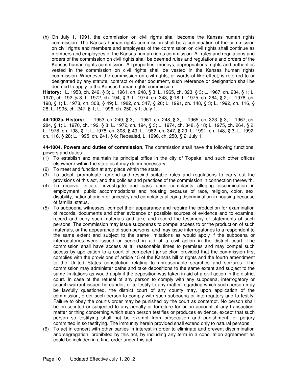(h) On July 1, 1991, the commission on civil rights shall become the Kansas human rights commission. The Kansas human rights commission shall be a continuation of the commission on civil rights and members and employees of the commission on civil rights shall continue as members and employees of the Kansas human rights commission. All rules and regulations and orders of the commission on civil rights shall be deemed rules and regulations and orders of the Kansas human rights commission. All properties, moneys, appropriations, rights and authorities vested in the commission on civil rights shall be vested in the Kansas human rights commission. Whenever the commission on civil rights, or words of like effect, is referred to or designated by any statute, contract or other document, such reference or designation shall be deemed to apply to the Kansas human rights commission.

**History:** L. 1953, ch. 249, § 3; L. 1961, ch. 248, § 3; L. 1965, ch. 323, § 3; L. 1967, ch. 284, § 1; L. 1970, ch. 192, § 8; L. 1972, ch. 194, § 3; L. 1974, ch. 348, § 18; L. 1975, ch. 264, § 2; L. 1978, ch. 198, § 1; L. 1978, ch. 308, § 49; L. 1982, ch. 347, § 20; L. 1991, ch. 148, § 3; L. 1992, ch. 116, § 28; L. 1995, ch. 247, § 1; L. 1996, ch. 250, § 1; July 1.

**44-1003a. History:** L. 1953, ch. 249, § 3; L. 1961, ch. 248, § 3; L. 1965, ch. 323, § 3; L. 1967, ch. 284, § 1; L. 1970, ch. 192, § 8; L. 1972, ch. 194, § 3; L. 1974, ch. 348, § 18; L. 1975, ch. 264, § 2; L. 1978, ch. 198, § 1; L. 1978, ch. 308, § 49; L. 1982, ch. 347, § 20; L. 1991, ch. 148, § 3; L. 1992, ch. 116, § 28; L. 1995, ch. 241, § 6; Repealed, L. 1996, ch. 250, § 2; July 1.

**44-1004. Powers and duties of commission.** The commission shall have the following functions, powers and duties:

- (1) To establish and maintain its principal office in the city of Topeka, and such other offices elsewhere within the state as it may deem necessary.
- (2) To meet and function at any place within the state.
- (3) To adopt, promulgate, amend and rescind suitable rules and regulations to carry out the provisions of this act, and the policies and practices of the commission in connection therewith.
- (4) To receive, initiate, investigate and pass upon complaints alleging discrimination in employment, public accommodations and housing because of race, religion, color, sex, disability, national origin or ancestry and complaints alleging discrimination in housing because of familial status.
- (5) To subpoena witnesses, compel their appearance and require the production for examination of records, documents and other evidence or possible sources of evidence and to examine, record and copy such materials and take and record the testimony or statements of such persons. The commission may issue subpoenas to compel access to or the production of such materials, or the appearance of such persons, and may issue interrogatories to a respondent to the same extent and subject to the same limitations as would apply if the subpoena or interrogatories were issued or served in aid of a civil action in the district court. The commission shall have access at all reasonable times to premises and may compel such access by application to a court of competent jurisdiction provided that the commission first complies with the provisions of article 15 of the Kansas bill of rights and the fourth amendment to the United States constitution relating to unreasonable searches and seizures. The commission may administer oaths and take depositions to the same extent and subject to the same limitations as would apply if the deposition was taken in aid of a civil action in the district court. In case of the refusal of any person to comply with any subpoena, interrogatory or search warrant issued hereunder, or to testify to any matter regarding which such person may be lawfully questioned, the district court of any county may, upon application of the commission, order such person to comply with such subpoena or interrogatory and to testify. Failure to obey the court's order may be punished by the court as contempt. No person shall be prosecuted or subjected to any penalty or forfeiture for or on account of any transaction, matter or thing concerning which such person testifies or produces evidence, except that such person so testifying shall not be exempt from prosecution and punishment for perjury committed in so testifying. The immunity herein provided shall extend only to natural persons.
- (6) To act in concert with other parties in interest in order to eliminate and prevent discrimination and segregation, prohibited by this act, by including any term in a conciliation agreement as could be included in a final order under this act.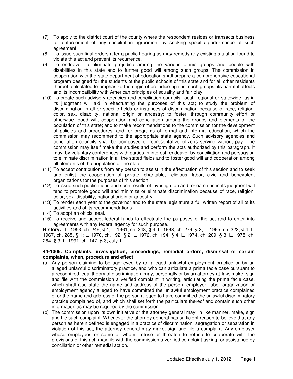- (7) To apply to the district court of the county where the respondent resides or transacts business for enforcement of any conciliation agreement by seeking specific performance of such agreement.
- (8) To issue such final orders after a public hearing as may remedy any existing situation found to violate this act and prevent its recurrence.
- (9) To endeavor to eliminate prejudice among the various ethnic groups and people with disabilities in this state and to further good will among such groups. The commission in cooperation with the state department of education shall prepare a comprehensive educational program designed for the students of the public schools of this state and for all other residents thereof, calculated to emphasize the origin of prejudice against such groups, its harmful effects and its incompatibility with American principles of equality and fair play.
- (10) To create such advisory agencies and conciliation councils, local, regional or statewide, as in its judgment will aid in effectuating the purposes of this act; to study the problem of discrimination in all or specific fields or instances of discrimination because of race, religion, color, sex, disability, national origin or ancestry; to foster, through community effort or otherwise, good will, cooperation and conciliation among the groups and elements of the population of this state; and to make recommendations to the commission for the development of policies and procedures, and for programs of formal and informal education, which the commission may recommend to the appropriate state agency. Such advisory agencies and conciliation councils shall be composed of representative citizens serving without pay. The commission may itself make the studies and perform the acts authorized by this paragraph. It may, by voluntary conferences with parties in interest, endeavor by conciliation and persuasion to eliminate discrimination in all the stated fields and to foster good will and cooperation among all elements of the population of the state.
- (11) To accept contributions from any person to assist in the effectuation of this section and to seek and enlist the cooperation of private, charitable, religious, labor, civic and benevolent organizations for the purposes of this section.
- (12) To issue such publications and such results of investigation and research as in its judgment will tend to promote good will and minimize or eliminate discrimination because of race, religion, color, sex, disability, national origin or ancestry.
- (13) To render each year to the governor and to the state legislature a full written report of all of its activities and of its recommendations.
- (14) To adopt an official seal.
- (15) To receive and accept federal funds to effectuate the purposes of the act and to enter into agreements with any federal agency for such purpose.

**History:** L. 1953, ch. 249, § 4; L. 1961, ch. 248, § 4; L. 1963, ch. 279, § 3; L. 1965, ch. 323, § 4; L. 1967, ch. 285, § 1; L. 1970, ch. 192, § 2; L. 1972, ch. 194, § 4; L. 1974, ch. 209, § 3; L. 1975, ch. 264, § 3; L. 1991, ch. 147, § 3; July 1.

## **44-1005. Complaints; investigation; proceedings; remedial orders; dismissal of certain complaints, when, procedure and effect**

- (a) Any person claiming to be aggrieved by an alleged unlawful employment practice or by an alleged unlawful discriminatory practice, and who can articulate a prima facie case pursuant to a recognized legal theory of discrimination, may, personally or by an attorney-at-law, make, sign and file with the commission a verified complaint in writing, articulating the prima facie case, which shall also state the name and address of the person, employer, labor organization or employment agency alleged to have committed the unlawful employment practice complained of or the name and address of the person alleged to have committed the unlawful discriminatory practice complained of, and which shall set forth the particulars thereof and contain such other information as may be required by the commission.
- (b) The commission upon its own initiative or the attorney general may, in like manner, make, sign and file such complaint. Whenever the attorney general has sufficient reason to believe that any person as herein defined is engaged in a practice of discrimination, segregation or separation in violation of this act, the attorney general may make, sign and file a complaint. Any employer whose employees or some of whom, refuse or threaten to refuse to cooperate with the provisions of this act, may file with the commission a verified complaint asking for assistance by conciliation or other remedial action.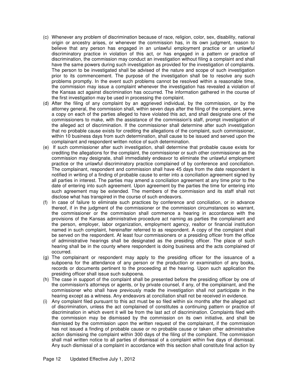- (c) Whenever any problem of discrimination because of race, religion, color, sex, disability, national origin or ancestry arises, or whenever the commission has, in its own judgment, reason to believe that any person has engaged in an unlawful employment practice or an unlawful discriminatory practice in violation of this act, or has engaged in a pattern or practice of discrimination, the commission may conduct an investigation without filing a complaint and shall have the same powers during such investigation as provided for the investigation of complaints. The person to be investigated shall be advised of the nature and scope of such investigation prior to its commencement. The purpose of the investigation shall be to resolve any such problems promptly. In the event such problems cannot be resolved within a reasonable time, the commission may issue a complaint whenever the investigation has revealed a violation of the Kansas act against discrimination has occurred. The information gathered in the course of the first investigation may be used in processing the complaint.
- (d) After the filing of any complaint by an aggrieved individual, by the commission, or by the attorney general, the commission shall, within seven days after the filing of the complaint, serve a copy on each of the parties alleged to have violated this act, and shall designate one of the commissioners to make, with the assistance of the commission's staff, prompt investigation of the alleged act of discrimination. If the commissioner shall determine after such investigation that no probable cause exists for crediting the allegations of the complaint, such commissioner, within 10 business days from such determination, shall cause to be issued and served upon the complainant and respondent written notice of such determination.
- (e) If such commissioner after such investigation, shall determine that probable cause exists for crediting the allegations for the complaint, the commissioner or such other commissioner as the commission may designate, shall immediately endeavor to eliminate the unlawful employment practice or the unlawful discriminatory practice complained of by conference and conciliation. The complainant, respondent and commission shall have 45 days from the date respondent is notified in writing of a finding of probable cause to enter into a conciliation agreement signed by all parties in interest. The parties may amend a conciliation agreement at any time prior to the date of entering into such agreement. Upon agreement by the parties the time for entering into such agreement may be extended. The members of the commission and its staff shall not disclose what has transpired in the course of such endeavors.
- (f) In case of failure to eliminate such practices by conference and conciliation, or in advance thereof, if in the judgment of the commissioner or the commission circumstances so warrant, the commissioner or the commission shall commence a hearing in accordance with the provisions of the Kansas administrative procedure act naming as parties the complainant and the person, employer, labor organization, employment agency, realtor or financial institution named in such complaint, hereinafter referred to as respondent. A copy of the complaint shall be served on the respondent. At least four commissioners or a presiding officer from the office of administrative hearings shall be designated as the presiding officer. The place of such hearing shall be in the county where respondent is doing business and the acts complained of occurred.
- (g) The complainant or respondent may apply to the presiding officer for the issuance of a subpoena for the attendance of any person or the production or examination of any books, records or documents pertinent to the proceeding at the hearing. Upon such application the presiding officer shall issue such subpoena.
- (h) The case in support of the complaint shall be presented before the presiding officer by one of the commission's attorneys or agents, or by private counsel, if any, of the complainant, and the commissioner who shall have previously made the investigation shall not participate in the hearing except as a witness. Any endeavors at conciliation shall not be received in evidence.
- (i) Any complaint filed pursuant to this act must be so filed within six months after the alleged act of discrimination, unless the act complained of constitutes a continuing pattern or practice of discrimination in which event it will be from the last act of discrimination. Complaints filed with the commission may be dismissed by the commission on its own initiative, and shall be dismissed by the commission upon the written request of the complainant, if the commission has not issued a finding of probable cause or no probable cause or taken other administrative action dismissing the complaint within 300 days of the filing of the complaint. The commission shall mail written notice to all parties of dismissal of a complaint within five days of dismissal. Any such dismissal of a complaint in accordance with this section shall constitute final action by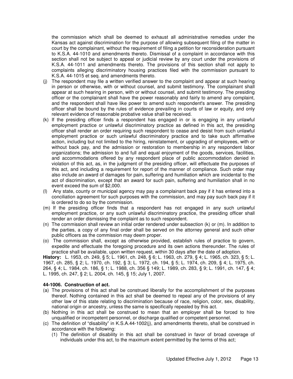the commission which shall be deemed to exhaust all administrative remedies under the Kansas act against discrimination for the purpose of allowing subsequent filing of the matter in court by the complainant, without the requirement of filing a petition for reconsideration pursuant to K.S.A. 44-1010 and amendments thereto. Dismissal of a complaint in accordance with this section shall not be subject to appeal or judicial review by any court under the provisions of K.S.A. 44-1011 and amendments thereto. The provisions of this section shall not apply to complaints alleging discriminatory housing practices filed with the commission pursuant to K.S.A. 44-1015 et seq. and amendments thereto.

- (j) The respondent may file a written verified answer to the complaint and appear at such hearing in person or otherwise, with or without counsel, and submit testimony. The complainant shall appear at such hearing in person, with or without counsel, and submit testimony. The presiding officer or the complainant shall have the power reasonably and fairly to amend any complaint, and the respondent shall have like power to amend such respondent's answer. The presiding officer shall be bound by the rules of evidence prevailing in courts of law or equity, and only relevant evidence of reasonable probative value shall be received.
- (k) If the presiding officer finds a respondent has engaged in or is engaging in any unlawful employment practice or unlawful discriminatory practice as defined in this act, the presiding officer shall render an order requiring such respondent to cease and desist from such unlawful employment practice or such unlawful discriminatory practice and to take such affirmative action, including but not limited to the hiring, reinstatement, or upgrading of employees, with or without back pay, and the admission or restoration to membership in any respondent labor organizations; the admission to and full and equal enjoyment of the goods, services, facilities, and accommodations offered by any respondent place of public accommodation denied in violation of this act, as, in the judgment of the presiding officer, will effectuate the purposes of this act, and including a requirement for report of the manner of compliance. Such order may also include an award of damages for pain, suffering and humiliation which are incidental to the act of discrimination, except that an award for such pain, suffering and humiliation shall in no event exceed the sum of \$2,000.
- (l) Any state, county or municipal agency may pay a complainant back pay if it has entered into a conciliation agreement for such purposes with the commission, and may pay such back pay if it is ordered to do so by the commission.
- (m) If the presiding officer finds that a respondent has not engaged in any such unlawful employment practice, or any such unlawful discriminatory practice, the presiding officer shall render an order dismissing the complaint as to such respondent.
- (n) The commission shall review an initial order rendered under subsection (k) or (m). In addition to the parties, a copy of any final order shall be served on the attorney general and such other public officers as the commission may deem proper.
- (o) The commission shall, except as otherwise provided, establish rules of practice to govern, expedite and effectuate the foregoing procedure and its own actions thereunder. The rules of practice shall be available, upon written request, within 30 days after the date of adoption.

**History:** L. 1953, ch. 249, § 5; L. 1961, ch. 248, § 6; L. 1963, ch. 279, § 4; L. 1965, ch. 323, § 5; L. 1967, ch. 285, § 2; L. 1970, ch. 192, § 3; L. 1972, ch. 194, § 5; L. 1974, ch. 209, § 4; L. 1975, ch. 264, § 4; L. 1984, ch. 186, § 1; L. 1988, ch. 356 § 149; L. 1989, ch. 283, § 9; L. 1991, ch. 147, § 4; L. 1995, ch. 247, § 2; L. 2004, ch. 145, § 15; July 1, 2007.

## **44-1006. Construction of act.**

- (a) The provisions of this act shall be construed liberally for the accomplishment of the purposes thereof. Nothing contained in this act shall be deemed to repeal any of the provisions of any other law of this state relating to discrimination because of race, religion, color, sex, disability, national origin or ancestry, unless the same is specifically repealed by this act.
- (b) Nothing in this act shall be construed to mean that an employer shall be forced to hire unqualified or incompetent personnel, or discharge qualified or competent personnel.
- (c) The definition of "disability" in K.S.A.44-1002(j), and amendments thereto, shall be construed in accordance with the following:
	- (1) The definition of disability in this act shall be construed in favor of broad coverage of individuals under this act, to the maximum extent permitted by the terms of this act;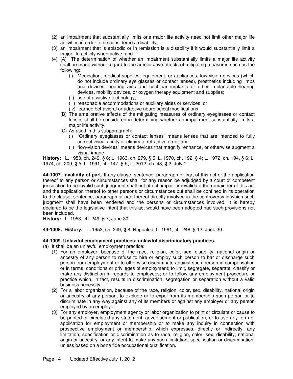- (2) an impairment that substantially limits one major life activity need not limit other major life activities in order to be considered a disability;
- (3) an impairment that is episodic or in remission is a disability if it would substantially limit a major life activity when active; and
- (4) (A) The determination of whether an impairment substantially limits a major life activity shall be made without regard to the ameliorative effects of mitigating measures such as the following:
	- (i) Medication, medical supplies, equipment, or appliances, low-vision devices (which do not include ordinary eye glasses or contact lenses), prosthetics including limbs and devices, hearing aids and cochlear implants or other implantable hearing devices, mobility devices, or oxygen therapy equipment and supplies;
	- (ii) use of assistive technology;
	- (iii) reasonable accommodations or auxiliary aides or services; or
	- (iv) learned behavioral or adaptive neurological modifications.
	- (B) The ameliorative effects of the mitigating measures of ordinary eyeglasses or contact lenses shall be considered in determining whether an impairment substantially limits a major life activity.
	- (C) As used in this subparagraph:
		- (i) "Ordinary eyeglasses or contact lenses" means lenses that are intended to fully correct visual acuity or eliminate refractive error; and
		- (ii) "low-vision devices" means devices that magnify, enhance, or otherwise augment a visual image.

**History:** L. 1953, ch. 249, § 6; L. 1963, ch. 279, § 5; L. 1970, ch. 192, § 4; L. 1972, ch. 194, § 6; L. 1974, ch. 209, § 5; L. 1991, ch. 147, § 5; L, 2012, ch. 48, § 2; July 1.

**44-1007. Invalidity of part.** If any clause, sentence, paragraph or part of this act or the application thereof to any person or circumstances shall for any reason be adjudged by a court of competent jurisdiction to be invalid such judgment shall not affect, impair or invalidate the remainder of this act and the application thereof to other persons or circumstances but shall be confined in its operation to the clause, sentence, paragraph or part thereof directly involved in the controversy in which such judgment shall have been rendered and the persons or circumstances involved. It is hereby declared to be the legislative intent that this act would have been adopted had such provisions not been included.

**History:** L. 1953, ch. 249, § 7; June 30.

**44-1008. History:** L. 1953, ch. 249, § 8; Repealed, L. 1961, ch. 248, § 12; June 30.

# **44-1009. Unlawful employment practices; unlawful discriminatory practices.**

- (a) It shall be an unlawful employment practice:
	- (1) For an employer, because of the race, religion, color, sex, disability, national origin or ancestry of any person to refuse to hire or employ such person to bar or discharge such person from employment or to otherwise discriminate against such person in compensation or in terms, conditions or privileges of employment; to limit, segregate, separate, classify or make any distinction in regards to employees; or to follow any employment procedure or practice which, in fact, results in discrimination, segregation or separation without a valid business necessity.
	- (2) For a labor organization, because of the race, religion, color, sex, disability, national origin or ancestry of any person, to exclude or to expel from its membership such person or to discriminate in any way against any of its members or against any employer or any person employed by an employer.
	- (3) For any employer, employment agency or labor organization to print or circulate or cause to be printed or circulated any statement, advertisement or publication, or to use any form of application for employment or membership or to make any inquiry in connection with prospective employment or membership, which expresses, directly or indirectly, any limitation, specification or discrimination as to race, religion, color, sex, disability, national origin or ancestry, or any intent to make any such limitation, specification or discrimination, unless based on a bona fide occupational qualification.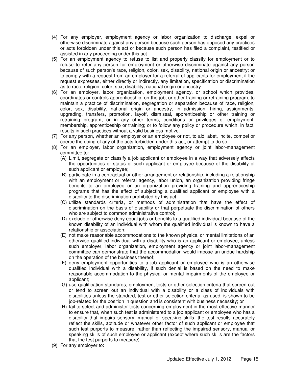- (4) For any employer, employment agency or labor organization to discharge, expel or otherwise discriminate against any person because such person has opposed any practices or acts forbidden under this act or because such person has filed a complaint, testified or assisted in any proceeding under this act.
- (5) For an employment agency to refuse to list and properly classify for employment or to refuse to refer any person for employment or otherwise discriminate against any person because of such person's race, religion, color, sex, disability, national origin or ancestry; or to comply with a request from an employer for a referral of applicants for employment if the request expresses, either directly or indirectly, any limitation, specification or discrimination as to race, religion, color, sex, disability, national origin or ancestry.
- (6) For an employer, labor organization, employment agency, or school which provides, coordinates or controls apprenticeship, on-the-job, or other training or retraining program, to maintain a practice of discrimination, segregation or separation because of race, religion, color, sex, disability, national origin or ancestry, in admission, hiring, assignments, upgrading, transfers, promotion, layoff, dismissal, apprenticeship or other training or retraining program, or in any other terms, conditions or privileges of employment, membership, apprenticeship or training; or to follow any policy or procedure which, in fact, results in such practices without a valid business motive.
- (7) For any person, whether an employer or an employee or not, to aid, abet, incite, compel or coerce the doing of any of the acts forbidden under this act, or attempt to do so.
- (8) For an employer, labor organization, employment agency or joint labor-management committee to:
	- (A) Limit, segregate or classify a job applicant or employee in a way that adversely affects the opportunities or status of such applicant or employee because of the disability of such applicant or employee;
	- (B) participate in a contractual or other arrangement or relationship, including a relationship with an employment or referral agency, labor union, an organization providing fringe benefits to an employee or an organization providing training and apprenticeship programs that has the effect of subjecting a qualified applicant or employee with a disability to the discrimination prohibited by this act;
	- (C) utilize standards criteria, or methods of administration that have the effect of discrimination on the basis of disability or that perpetuate the discrimination of others who are subject to common administrative control;
	- (D) exclude or otherwise deny equal jobs or benefits to a qualified individual because of the known disability of an individual with whom the qualified individual is known to have a relationship or association;
	- (E) not make reasonable accommodations to the known physical or mental limitations of an otherwise qualified individual with a disability who is an applicant or employee, unless such employer, labor organization, employment agency or joint labor-management committee can demonstrate that the accommodation would impose an undue hardship on the operation of the business thereof;
	- (F) deny employment opportunities to a job applicant or employee who is an otherwise qualified individual with a disability, if such denial is based on the need to make reasonable accommodation to the physical or mental impairments of the employee or applicant;
	- (G) use qualification standards, employment tests or other selection criteria that screen out or tend to screen out an individual with a disability or a class of individuals with disabilities unless the standard, test or other selection criteria, as used, is shown to be job-related for the position in question and is consistent with business necessity; or
	- (H) fail to select and administer tests concerning employment in the most effective manner to ensure that, when such test is administered to a job applicant or employee who has a disability that impairs sensory, manual or speaking skills, the test results accurately reflect the skills, aptitude or whatever other factor of such applicant or employee that such test purports to measure, rather than reflecting the impaired sensory, manual or speaking skills of such employee or applicant (except where such skills are the factors that the test purports to measure).
- (9) For any employer to: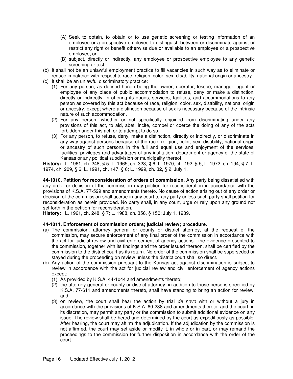- (A) Seek to obtain, to obtain or to use genetic screening or testing information of an employee or a prospective employee to distinguish between or discriminate against or restrict any right or benefit otherwise due or available to an employee or a prospective employee; or
- (B) subject, directly or indirectly, any employee or prospective employee to any genetic screening or test.
- (b) It shall not be an unlawful employment practice to fill vacancies in such way as to eliminate or reduce imbalance with respect to race, religion, color, sex, disability, national origin or ancestry.
- (c) It shall be an unlawful discriminatory practice:
	- (1) For any person, as defined herein being the owner, operator, lessee, manager, agent or employee of any place of public accommodation to refuse, deny or make a distinction, directly or indirectly, in offering its goods, services, facilities, and accommodations to any person as covered by this act because of race, religion, color, sex, disability, national origin or ancestry, except where a distinction because of sex is necessary because of the intrinsic nature of such accommodation.
	- (2) For any person, whether or not specifically enjoined from discriminating under any provisions of this act, to aid, abet, incite, compel or coerce the doing of any of the acts forbidden under this act, or to attempt to do so.
	- (3) For any person, to refuse, deny, make a distinction, directly or indirectly, or discriminate in any way against persons because of the race, religion, color, sex, disability, national origin or ancestry of such persons in the full and equal use and enjoyment of the services, facilities, privileges and advantages of any institution, department or agency of the state of Kansas or any political subdivision or municipality thereof.

**History:** L. 1961, ch. 248, § 5; L. 1965, ch. 323, § 6; L. 1970, ch. 192, § 5; L. 1972, ch. 194, § 7; L. 1974, ch. 209, § 6; L. 1991, ch. 147, § 6; L. 1999, ch. 32, § 2; July 1.

**44-1010. Petition for reconsideration of orders of commission.** Any party being dissatisfied with any order or decision of the commission may petition for reconsideration in accordance with the provisions of K.S.A. 77-529 and amendments thereto. No cause of action arising out of any order or decision of the commission shall accrue in any court to any party unless such party shall petition for reconsideration as herein provided. No party shall, in any court, urge or rely upon any ground not set forth in the petition for reconsideration.

**History:** L. 1961, ch. 248, § 7; L. 1988, ch. 356, § 150; July 1, 1989.

# **44-1011. Enforcement of commission orders; judicial review; procedure.**

- (a) The commission, attorney general or county or district attorney, at the request of the commission, may secure enforcement of any final order of the commission in accordance with the act for judicial review and civil enforcement of agency actions. The evidence presented to the commission, together with its findings and the order issued thereon, shall be certified by the commission to the district court as its return. No order of the commission shall be superseded or stayed during the proceeding on review unless the district court shall so direct.
- (b) Any action of the commission pursuant to the Kansas act against discrimination is subject to review in accordance with the act for judicial review and civil enforcement of agency actions except:
	- (1) As provided by K.S.A. 44-1044 and amendments thereto;
	- (2) the attorney general or county or district attorney, in addition to those persons specified by K.S.A. 77-611 and amendments thereto, shall have standing to bring an action for review; and
	- (3) on review, the court shall hear the action by trial de novo with or without a jury in accordance with the provisions of K.S.A. 60-238 and amendments thereto, and the court, in its discretion, may permit any party or the commission to submit additional evidence on any issue. The review shall be heard and determined by the court as expeditiously as possible. After hearing, the court may affirm the adjudication. If the adjudication by the commission is not affirmed, the court may set aside or modify it, in whole or in part, or may remand the proceedings to the commission for further disposition in accordance with the order of the court.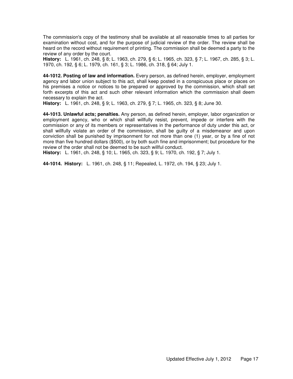The commission's copy of the testimony shall be available at all reasonable times to all parties for examination without cost, and for the purpose of judicial review of the order. The review shall be heard on the record without requirement of printing. The commission shall be deemed a party to the review of any order by the court.

**History:** L. 1961, ch. 248, § 8; L. 1963, ch. 279, § 6; L. 1965, ch. 323, § 7; L. 1967, ch. 285, § 3; L. 1970, ch. 192, § 6; L. 1979, ch. 161, § 3; L. 1986, ch. 318, § 64; July 1.

**44-1012. Posting of law and information.** Every person, as defined herein, employer, employment agency and labor union subject to this act, shall keep posted in a conspicuous place or places on his premises a notice or notices to be prepared or approved by the commission, which shall set forth excerpts of this act and such other relevant information which the commission shall deem necessary to explain the act.

**History:** L. 1961, ch. 248, § 9; L. 1963, ch. 279, § 7; L. 1965, ch. 323, § 8; June 30.

**44-1013. Unlawful acts; penalties.** Any person, as defined herein, employer, labor organization or employment agency, who or which shall willfully resist, prevent, impede or interfere with the commission or any of its members or representatives in the performance of duty under this act, or shall willfully violate an order of the commission, shall be guilty of a misdemeanor and upon conviction shall be punished by imprisonment for not more than one (1) year, or by a fine of not more than five hundred dollars (\$500), or by both such fine and imprisonment; but procedure for the review of the order shall not be deemed to be such willful conduct.

**History:** L. 1961, ch. 248, § 10; L. 1965, ch. 323, § 9; L. 1970, ch. 192, § 7; July 1.

**44-1014. History:** L. 1961, ch. 248, § 11; Repealed, L. 1972, ch. 194, § 23; July 1.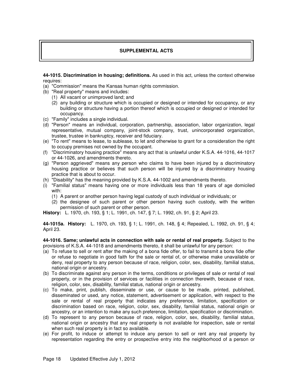# **SUPPLEMENTAL ACTS**

**44-1015. Discrimination in housing; definitions.** As used in this act, unless the context otherwise requires:

- (a) "Commission" means the Kansas human rights commission.
- (b) "Real property" means and includes:
	- (1) All vacant or unimproved land; and
	- (2) any building or structure which is occupied or designed or intended for occupancy, or any building or structure having a portion thereof which is occupied or designed or intended for occupancy.
- (c) "Family" includes a single individual.
- (d) "Person" means an individual, corporation, partnership, association, labor organization, legal representative, mutual company, joint-stock company, trust, unincorporated organization, trustee, trustee in bankruptcy, receiver and fiduciary.
- (e) "To rent" means to lease, to sublease, to let and otherwise to grant for a consideration the right to occupy premises not owned by the occupant.
- (f) "Discriminatory housing practice" means any act that is unlawful under K.S.A. 44-1016, 44-1017 or 44-1026, and amendments thereto.
- (g) "Person aggrieved" means any person who claims to have been injured by a discriminatory housing practice or believes that such person will be injured by a discriminatory housing practice that is about to occur.
- (h) "Disability" has the meaning provided by K.S.A. 44-1002 and amendments thereto.
- (i) "Familial status" means having one or more individuals less than 18 years of age domiciled with:
	- (1) A parent or another person having legal custody of such individual or individuals; or
	- (2) the designee of such parent or other person having such custody, with the written permission of such parent or other person.

**History:** L. 1970, ch. 193, § 1; L. 1991, ch. 147, § 7; L. 1992, ch. 91, § 2; April 23.

**44-1015a. History:** L. 1970, ch. 193, § 1; L. 1991, ch. 148, § 4; Repealed, L. 1992, ch. 91, § 4; April 23.

**44-1016. Same; unlawful acts in connection with sale or rental of real property.** Subject to the provisions of K.S.A. 44-1018 and amendments thereto, it shall be unlawful for any person:

- (a) To refuse to sell or rent after the making of a bona fide offer, to fail to transmit a bona fide offer or refuse to negotiate in good faith for the sale or rental of, or otherwise make unavailable or deny, real property to any person because of race, religion, color, sex, disability, familial status, national origin or ancestry.
- (b) To discriminate against any person in the terms, conditions or privileges of sale or rental of real property, or in the provision of services or facilities in connection therewith, because of race, religion, color, sex, disability, familial status, national origin or ancestry.
- (c) To make, print, publish, disseminate or use, or cause to be made, printed, published, disseminated or used, any notice, statement, advertisement or application, with respect to the sale or rental of real property that indicates any preference, limitation, specification or discrimination based on race, religion, color, sex, disability, familial status, national origin or ancestry, or an intention to make any such preference, limitation, specification or discrimination.
- (d) To represent to any person because of race, religion, color, sex, disability, familial status, national origin or ancestry that any real property is not available for inspection, sale or rental when such real property is in fact so available.
- (e) For profit, to induce or attempt to induce any person to sell or rent any real property by representation regarding the entry or prospective entry into the neighborhood of a person or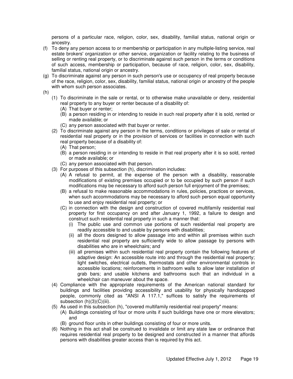persons of a particular race, religion, color, sex, disability, familial status, national origin or ancestry.

- (f) To deny any person access to or membership or participation in any multiple-listing service, real estate brokers' organization or other service, organization or facility relating to the business of selling or renting real property, or to discriminate against such person in the terms or conditions of such access, membership or participation, because of race, religion, color, sex, disability, familial status, national origin or ancestry.
- (g) To discriminate against any person in such person's use or occupancy of real property because of the race, religion, color, sex, disability, familial status, national origin or ancestry of the people with whom such person associates.
- (h)
- (1) To discriminate in the sale or rental, or to otherwise make unavailable or deny, residential real property to any buyer or renter because of a disability of:
	- (A) That buyer or renter;
	- (B) a person residing in or intending to reside in such real property after it is sold, rented or made available; or
	- (C) any person associated with that buyer or renter.
- (2) To discriminate against any person in the terms, conditions or privileges of sale or rental of residential real property or in the provision of services or facilities in connection with such real property because of a disability of:
	- (A) That person;
	- (B) a person residing in or intending to reside in that real property after it is so sold, rented or made available; or
	- (C) any person associated with that person.
- (3) For purposes of this subsection (h), discrimination includes:
	- (A) A refusal to permit, at the expense of the person with a disability, reasonable modifications of existing premises occupied or to be occupied by such person if such modifications may be necessary to afford such person full enjoyment of the premises;
	- (B) a refusal to make reasonable accommodations in rules, policies, practices or services, when such accommodations may be necessary to afford such person equal opportunity to use and enjoy residential real property; or
	- (C) in connection with the design and construction of covered multifamily residential real property for first occupancy on and after January 1, 1992, a failure to design and construct such residential real property in such a manner that:
		- (i) The public use and common use portions of such residential real property are readily accessible to and usable by persons with disabilities;
		- (ii) all the doors designed to allow passage into and within all premises within such residential real property are sufficiently wide to allow passage by persons with disabilities who are in wheelchairs; and
		- (iii) all premises within such residential real property contain the following features of adaptive design: An accessible route into and through the residential real property; light switches, electrical outlets, thermostats and other environmental controls in accessible locations; reinforcements in bathroom walls to allow later installation of grab bars; and usable kitchens and bathrooms such that an individual in a wheelchair can maneuver about the space.
- (4) Compliance with the appropriate requirements of the American national standard for buildings and facilities providing accessibility and usability for physically handicapped people, commonly cited as "ANSI A 117.1," suffices to satisfy the requirements of subsection (h)(3)(C)(iii).
- (5) As used in this subsection (h), "covered multifamily residential real property" means:
	- (A) Buildings consisting of four or more units if such buildings have one or more elevators; and
		- (B) ground floor units in other buildings consisting of four or more units.
- (6) Nothing in this act shall be construed to invalidate or limit any state law or ordinance that requires residential real property to be designed and constructed in a manner that affords persons with disabilities greater access than is required by this act.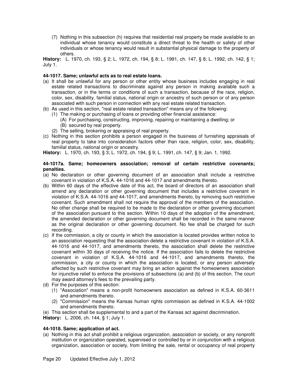(7) Nothing in this subsection (h) requires that residential real property be made available to an individual whose tenancy would constitute a direct threat to the health or safety of other individuals or whose tenancy would result in substantial physical damage to the property of others.

**History:** L. 1970, ch. 193, § 2; L. 1972, ch. 194, § 8; L. 1991, ch. 147, § 8; L. 1992, ch. 142, § 1; July 1.

## **44-1017. Same; unlawful acts as to real estate loans.**

- (a) It shall be unlawful for any person or other entity whose business includes engaging in real estate related transactions to discriminate against any person in making available such a transaction, or in the terms or conditions of such a transaction, because of the race, religion, color, sex, disability, familial status, national origin or ancestry of such person or of any person associated with such person in connection with any real estate related transaction.
- (b) As used in this section, "real estate related transaction" means any of the following:
	- (1) The making or purchasing of loans or providing other financial assistance:
		- (A) For purchasing, constructing, improving, repairing or maintaining a dwelling; or (B) secured by real property.
	- (2) The selling, brokering or appraising of real property.
- (c) Nothing in this section prohibits a person engaged in the business of furnishing appraisals of real property to take into consideration factors other than race, religion, color, sex, disability, familial status, national origin or ancestry.

**History:** L. 1970, ch. 193, § 3; L. 1972, ch. 194, § 9; L. 1991, ch. 147, § 9; Jan. 1, 1992.

## **44-1017a. Same; homeowners association; removal of certain restrictive covenants; penalties.**

- (a) No declaration or other governing document of an association shall include a restrictive covenant in violation of K.S.A. 44-1016 and 44-1017 and amendments thereto.
- (b) Within 60 days of the effective date of this act, the board of directors of an association shall amend any declaration or other governing document that includes a restrictive covenant in violation of K.S.A. 44-1016 and 44-1017, and amendments thereto, by removing such restrictive covenant. Such amendment shall not require the approval of the members of the association. No other change shall be required to be made to the declaration or other governing document of the association pursuant to this section. Within 10 days of the adoption of the amendment, the amended declaration or other governing document shall be recorded in the same manner as the original declaration or other governing document. No fee shall be charged for such recording.
- (c) If the commission, a city or county in which the association is located provides written notice to an association requesting that the association delete a restrictive covenant in violation of K.S.A. 44-1016 and 44-1017, and amendments thereto, the association shall delete the restrictive covenant within 30 days of receiving the notice. If the association fails to delete the restrictive covenant in violation of K.S.A. 44-1016 and 44-1017, and amendments thereto, the commission, a city or county in which the association is located, or any person adversely affected by such restrictive covenant may bring an action against the homeowners association for injunctive relief to enforce the provisions of subsections (a) and (b) of this section. The court may award attorney's fees to the prevailing party.
- (d) For the purposes of this section:
	- (1) "Association" means a non-profit homeowners association as defined in K.S.A. 60-3611 and amendments thereto.
	- (2) "Commission" means the Kansas human rights commission as defined in K.S.A. 44-1002 and amendments thereto.
- (e) This section shall be supplemental to and a part of the Kansas act against discrimination.

**History:** L. 2006, ch. 144, § 1; July 1.

# **44-1018. Same; application of act.**

(a) Nothing in this act shall prohibit a religious organization, association or society, or any nonprofit institution or organization operated, supervised or controlled by or in conjunction with a religious organization, association or society, from limiting the sale, rental or occupancy of real property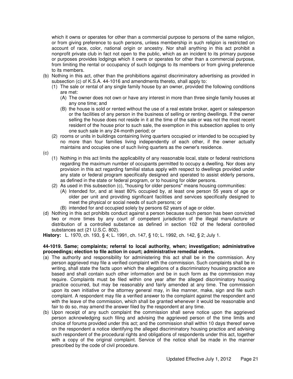which it owns or operates for other than a commercial purpose to persons of the same religion, or from giving preference to such persons, unless membership in such religion is restricted on account of race, color, national origin or ancestry. Nor shall anything in this act prohibit a nonprofit private club in fact not open to the public, which as an incident to its primary purpose or purposes provides lodgings which it owns or operates for other than a commercial purpose, from limiting the rental or occupancy of such lodgings to its members or from giving preference to its members.

- (b) Nothing in this act, other than the prohibitions against discriminatory advertising as provided in subsection (c) of K.S.A. 44-1016 and amendments thereto, shall apply to:
	- (1) The sale or rental of any single family house by an owner, provided the following conditions are met:
		- (A) The owner does not own or have any interest in more than three single family houses at any one time; and
		- (B) the house is sold or rented without the use of a real estate broker, agent or salesperson or the facilities of any person in the business of selling or renting dwellings. If the owner selling the house does not reside in it at the time of the sale or was not the most recent resident of the house prior to such sale, the exemption in this subsection applies to only one such sale in any 24-month period; or
	- (2) rooms or units in buildings containing living quarters occupied or intended to be occupied by no more than four families living independently of each other, if the owner actually maintains and occupies one of such living quarters as the owner's residence.

(c)

- (1) Nothing in this act limits the applicability of any reasonable local, state or federal restrictions regarding the maximum number of occupants permitted to occupy a dwelling. Nor does any provision in this act regarding familial status apply with respect to dwellings provided under any state or federal program specifically designed and operated to assist elderly persons, as defined in the state or federal program, or to housing for older persons.
- (2) As used in this subsection (c), "housing for older persons" means housing communities:
	- (A) Intended for, and at least 80% occupied by, at least one person 55 years of age or older per unit and providing significant facilities and services specifically designed to meet the physical or social needs of such persons; or
	- (B) intended for and occupied solely by persons 62 years of age or older.
- (d) Nothing in this act prohibits conduct against a person because such person has been convicted two or more times by any court of competent jurisdiction of the illegal manufacture or distribution of a controlled substance as defined in section 102 of the federal controlled substances act (21 U.S.C. 802).

**History:** L. 1970, ch. 193, § 4; L. 1991, ch. 147, § 10; L. 1992, ch. 142, § 2; July 1.

## **44-1019. Same; complaints; referral to local authority, when; investigation; administrative proceedings; election to file action in court; administrative remedial orders.**

- (a) The authority and responsibility for administering this act shall be in the commission. Any person aggrieved may file a verified complaint with the commission. Such complaints shall be in writing, shall state the facts upon which the allegations of a discriminatory housing practice are based and shall contain such other information and be in such form as the commission may require. Complaints must be filed within one year after the alleged discriminatory housing practice occurred, but may be reasonably and fairly amended at any time. The commission upon its own initiative or the attorney general may, in like manner, make, sign and file such complaint. A respondent may file a verified answer to the complaint against the respondent and with the leave of the commission, which shall be granted whenever it would be reasonable and fair to do so, may amend the answer filed by the respondent at any time.
- (b) Upon receipt of any such complaint the commission shall serve notice upon the aggrieved person acknowledging such filing and advising the aggrieved person of the time limits and choice of forums provided under this act; and the commission shall within 10 days thereof serve on the respondent a notice identifying the alleged discriminatory housing practice and advising such respondent of the procedural rights and obligations of respondents under this act, together with a copy of the original complaint. Service of the notice shall be made in the manner prescribed by the code of civil procedure.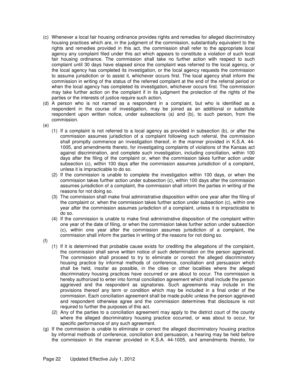- (c) Whenever a local fair housing ordinance provides rights and remedies for alleged discriminatory housing practices which are, in the judgment of the commission, substantially equivalent to the rights and remedies provided in this act, the commission shall refer to the appropriate local agency any complaint filed under this act which appears to constitute a violation of such local fair housing ordinance. The commission shall take no further action with respect to such complaint until 30 days have elapsed since the complaint was referred to the local agency, or the local agency has completed its investigation, or the local agency requests the commission to assume jurisdiction or to assist it, whichever occurs first. The local agency shall inform the commission in writing of the status of the referred complaint at the end of the referral period or when the local agency has completed its investigation, whichever occurs first. The commission may take further action on the complaint if in its judgment the protection of the rights of the parties or the interests of justice require such action.
- (d) A person who is not named as a respondent in a complaint, but who is identified as a respondent in the course of investigation, may be joined as an additional or substitute respondent upon written notice, under subsections (a) and (b), to such person, from the commission.
- (e)
	- (1) If a complaint is not referred to a local agency as provided in subsection (b), or after the commission assumes jurisdiction of a complaint following such referral, the commission shall promptly commence an investigation thereof, in the manner provided in K.S.A. 44- 1005, and amendments thereto, for investigating complaints of violations of the Kansas act against discrimination, and complete such investigation, including conciliation, within 100 days after the filing of the complaint or, when the commission takes further action under subsection (c), within 100 days after the commission assumes jurisdiction of a complaint, unless it is impracticable to do so.
	- (2) If the commission is unable to complete the investigation within 100 days, or when the commission takes further action under subsection (c), within 100 days after the commission assumes jurisdiction of a complaint, the commission shall inform the parties in writing of the reasons for not doing so.
	- (3) The commission shall make final administrative disposition within one year after the filing of the complaint or, when the commission takes further action under subsection (c), within one year after the commission assumes jurisdiction of a complaint, unless it is impracticable to do so.
	- (4) If the commission is unable to make final administrative disposition of the complaint within one year of the date of filing, or when the commission takes further action under subsection (c), within one year after the commission assumes jurisdiction of a complaint, the commission shall inform the parties in writing of the reasons for not doing so.
- (f)
- (1) If it is determined that probable cause exists for crediting the allegations of the complaint, the commission shall serve written notice of such determination on the person aggrieved. The commission shall proceed to try to eliminate or correct the alleged discriminatory housing practice by informal methods of conference, conciliation and persuasion which shall be held, insofar as possible, in the cities or other localities where the alleged discriminatory housing practices have occurred or are about to occur. The commission is hereby authorized to enter into formal conciliation agreement which shall include the person aggrieved and the respondent as signatories. Such agreements may include in the provisions thereof any term or condition which may be included in a final order of the commission. Each conciliation agreement shall be made public unless the person aggrieved and respondent otherwise agree and the commission determines that disclosure is not required to further the purposes of this act.
- (2) Any of the parties to a conciliation agreement may apply to the district court of the county where the alleged discriminatory housing practice occurred, or was about to occur, for specific performance of any such agreement.
- (g) If the commission is unable to eliminate or correct the alleged discriminatory housing practice by informal methods of conference, conciliation and persuasion, a hearing may be held before the commission in the manner provided in K.S.A. 44-1005, and amendments thereto, for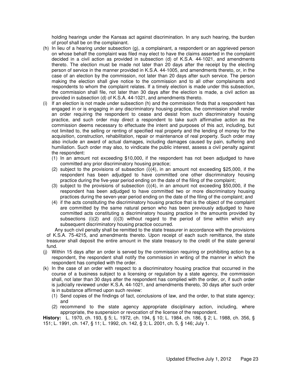holding hearings under the Kansas act against discrimination. In any such hearing, the burden of proof shall be on the complainant.

- (h) In lieu of a hearing under subsection (g), a complainant, a respondent or an aggrieved person on whose behalf the complaint was filed may elect to have the claims asserted in the complaint decided in a civil action as provided in subsection (d) of K.S.A. 44-1021, and amendments thereto. The election must be made not later than 20 days after the receipt by the electing person of service in the manner provided in K.S.A. 44-1005, and amendments thereto, or, in the case of an election by the commission, not later than 20 days after such service. The person making the election shall give notice to the commission and to all other complainants and respondents to whom the complaint relates. If a timely election is made under this subsection, the commission shall file, not later than 30 days after the election is made, a civil action as provided in subsection (d) of K.S.A. 44-1021, and amendments thereto.
- (i) If an election is not made under subsection (h) and the commission finds that a respondent has engaged in or is engaging in any discriminatory housing practice, the commission shall render an order requiring the respondent to cease and desist from such discriminatory housing practice, and such order may direct a respondent to take such affirmative action as the commission deems necessary to effectuate the intent and purposes of this act, including, but not limited to, the selling or renting of specified real property and the lending of money for the acquisition, construction, rehabilitation, repair or maintenance of real property. Such order may also include an award of actual damages, including damages caused by pain, suffering and humiliation. Such order may also, to vindicate the public interest, assess a civil penalty against the respondent:
	- (1) In an amount not exceeding \$10,000, if the respondent has not been adjudged to have committed any prior discriminatory housing practice;
	- (2) subject to the provisions of subsection (i)(4), in an amount not exceeding \$25,000, if the respondent has been adjudged to have committed one other discriminatory housing practice during the five-year period ending on the date of the filing of the complaint;
	- (3) subject to the provisions of subsection  $(i)(4)$ , in an amount not exceeding \$50,000, if the respondent has been adjudged to have committed two or more discriminatory housing practices during the seven-year period ending on the date of the filing of the complaint; and
	- (4) if the acts constituting the discriminatory housing practice that is the object of the complaint are committed by the same natural person who has been previously adjudged to have committed acts constituting a discriminatory housing practice in the amounts provided by subsections  $(i)(2)$  and  $(i)(3)$  without regard to the period of time within which any subsequent discriminatory housing practice occurred.

 Any such civil penalty shall be remitted to the state treasurer in accordance with the provisions of K.S.A. 75-4215, and amendments thereto. Upon receipt of each such remittance, the state treasurer shall deposit the entire amount in the state treasury to the credit of the state general fund.

- (j) Within 15 days after an order is served by the commission requiring or prohibiting action by a respondent, the respondent shall notify the commission in writing of the manner in which the respondent has complied with the order.
- (k) In the case of an order with respect to a discriminatory housing practice that occurred in the course of a business subject to a licensing or regulation by a state agency, the commission shall, not later than 30 days after the respondent has complied with the order, or, if such order is judicially reviewed under K.S.A. 44-1021, and amendments thereto, 30 days after such order is in substance affirmed upon such review:
	- (1) Send copies of the findings of fact, conclusions of law, and the order, to that state agency; and
	- (2) recommend to the state agency appropriate disciplinary action, including, where appropriate, the suspension or revocation of the license of the respondent.

**History:** L. 1970, ch. 193, § 5; L. 1972, ch. 194, § 10; L. 1984, ch. 186, § 2; L. 1988, ch. 356, § 151; L. 1991, ch. 147, § 11; L. 1992, ch. 142, § 3; L. 2001, ch. 5, § 146; July 1.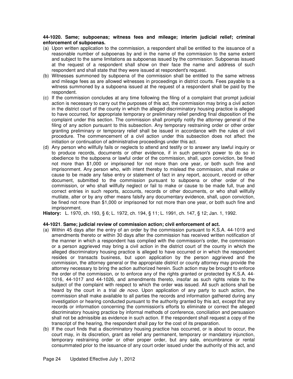# **44-1020. Same; subpoenas; witness fees and mileage; interim judicial relief; criminal enforcement of subpoenas.**

- (a) Upon written application to the commission, a respondent shall be entitled to the issuance of a reasonable number of subpoenas by and in the name of the commission to the same extent and subject to the same limitations as subpoenas issued by the commission. Subpoenas issued at the request of a respondent shall show on their face the name and address of such respondent and shall state that they were issued at respondent's request.
- (b) Witnesses summoned by subpoena of the commission shall be entitled to the same witness and mileage fees as are allowed witnesses in proceedings in district courts. Fees payable to a witness summoned by a subpoena issued at the request of a respondent shall be paid by the respondent.
- (c) If the commission concludes at any time following the filing of a complaint that prompt judicial action is necessary to carry out the purposes of this act, the commission may bring a civil action in the district court of the county in which the alleged discriminatory housing practice is alleged to have occurred, for appropriate temporary or preliminary relief pending final disposition of the complaint under this section. The commission shall promptly notify the attorney general of the filing of any action pursuant to this subsection. Any temporary restraining order or other order granting preliminary or temporary relief shall be issued in accordance with the rules of civil procedure. The commencement of a civil action under this subsection does not affect the initiation or continuation of administrative proceedings under this act.
- (d) Any person who willfully fails or neglects to attend and testify or to answer any lawful inquiry or to produce records, documents or other evidence, if in such person's power to do so in obedience to the subpoena or lawful order of the commission, shall, upon conviction, be fined not more than \$1,000 or imprisoned for not more than one year, or both such fine and imprisonment. Any person who, with intent thereby to mislead the commission, shall make or cause to be made any false entry or statement of fact in any report, account, record or other document, submitted to the commission pursuant to subpoena or other order of the commission, or who shall willfully neglect or fail to make or cause to be made full, true and correct entries in such reports, accounts, records or other documents, or who shall willfully mutilate, alter or by any other means falsify any documentary evidence, shall, upon conviction, be fined not more than \$1,000 or imprisoned for not more than one year, or both such fine and imprisonment.

**History:** L. 1970, ch. 193, § 6; L. 1972, ch. 194, § 11; L. 1991, ch. 147, § 12; Jan. 1, 1992.

# **44-1021**. **Same; judicial review of commission action; civil enforcement of act.**

- (a) Within 45 days after the entry of an order by the commission pursuant to K.S.A. 44-1019 and amendments thereto or within 30 days after the commission has received written notification of the manner in which a respondent has complied with the commission's order, the commission or a person aggrieved may bring a civil action in the district court of the county in which the alleged discriminatory housing practice is alleged to have occurred or in which the respondent resides or transacts business, but upon application by the person aggrieved and the commission, the attorney general or the appropriate district or county attorney may provide the attorney necessary to bring the action authorized herein. Such action may be brought to enforce the order of the commission, or to enforce any of the rights granted or protected by K.S.A. 44- 1016, 44-1017 and 44-1026, and amendments thereto, insofar as such rights relate to the subject of the complaint with respect to which the order was issued. All such actions shall be heard by the court in a trial de novo. Upon application of any party to such action, the commission shall make available to all parties the records and information gathered during any investigation or hearing conducted pursuant to the authority granted by this act, except that any records or information concerning the commission's efforts to eliminate or correct the alleged discriminatory housing practice by informal methods of conference, conciliation and persuasion shall not be admissible as evidence in such action. If the respondent shall request a copy of the transcript of the hearing, the respondent shall pay for the cost of its preparation.
- (b) If the court finds that a discriminatory housing practice has occurred, or is about to occur, the court may, in its discretion, grant as relief any permanent, temporary or mandatory injunction, temporary restraining order or other proper order, but any sale, encumbrance or rental consummated prior to the issuance of any court order issued under the authority of this act, and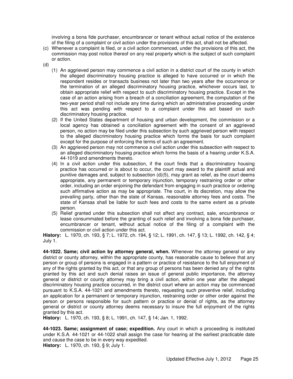involving a bona fide purchaser, encumbrancer or tenant without actual notice of the existence of the filing of a complaint or civil action under the provisions of this act, shall not be affected.

- (c) Whenever a complaint is filed, or a civil action commenced, under the provisions of this act, the commission may post notice thereof on any real property which is the subject of such complaint or action.
- (d)
	- (1) An aggrieved person may commence a civil action in a district court of the county in which the alleged discriminatory housing practice is alleged to have occurred or in which the respondent resides or transacts business not later than two years after the occurrence or the termination of an alleged discriminatory housing practice, whichever occurs last, to obtain appropriate relief with respect to such discriminatory housing practice. Except in the case of an action arising from a breach of a conciliation agreement, the computation of the two-year period shall not include any time during which an administrative proceeding under this act was pending with respect to a complaint under this act based on such discriminatory housing practice.
	- (2) If the United States department of housing and urban development, the commission or a local agency has obtained a conciliation agreement with the consent of an aggrieved person, no action may be filed under this subsection by such aggrieved person with respect to the alleged discriminatory housing practice which forms the basis for such complaint except for the purpose of enforcing the terms of such an agreement.
	- (3) An aggrieved person may not commence a civil action under this subsection with respect to an alleged discriminatory housing practice which forms the basis of a hearing under K.S.A. 44-1019 and amendments thereto.
	- (4) In a civil action under this subsection, if the court finds that a discriminatory housing practice has occurred or is about to occur, the court may award to the plaintiff actual and punitive damages and, subject to subsection (d)(5), may grant as relief, as the court deems appropriate, any permanent or temporary injunction, temporary restraining order or other order, including an order enjoining the defendant from engaging in such practice or ordering such affirmative action as may be appropriate. The court, in its discretion, may allow the prevailing party, other than the state of Kansas, reasonable attorney fees and costs. The state of Kansas shall be liable for such fees and costs to the same extent as a private person.
	- (5) Relief granted under this subsection shall not affect any contract, sale, encumbrance or lease consummated before the granting of such relief and involving a bona fide purchaser, encumbrancer or tenant, without actual notice of the filing of a complaint with the commission or civil action under this act.

**History:** L. 1970, ch. 193, § 7; L. 1972, ch. 194, § 12; L. 1991, ch. 147, § 13; L. 1992, ch. 142, § 4; July 1.

**44-1022. Same; civil action by attorney general, when.** Whenever the attorney general or any district or county attorney, within the appropriate county, has reasonable cause to believe that any person or group of persons is engaged in a pattern or practice of resistance to the full enjoyment of any of the rights granted by this act, or that any group of persons has been denied any of the rights granted by this act and such denial raises an issue of general public importance, the attorney general or district or county attorney may bring a civil action, within one year after the alleged discriminatory housing practice occurred, in the district court where an action may be commenced pursuant to K.S.A. 44-1021 and amendments thereto, requesting such preventive relief, including an application for a permanent or temporary injunction, restraining order or other order against the person or persons responsible for such pattern or practice or denial of rights, as the attorney general or district or county attorney deems necessary to insure the full enjoyment of the rights granted by this act.

**History:** L. 1970, ch. 193, § 8; L. 1991, ch. 147, § 14; Jan. 1, 1992.

**44-1023. Same; assignment of case; expedition.** Any court in which a proceeding is instituted under K.S.A. 44-1021 or 44-1022 shall assign the case for hearing at the earliest practicable date and cause the case to be in every way expedited. **History:** L. 1970, ch. 193, § 9; July 1.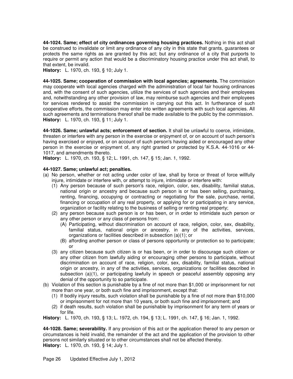**44-1024. Same; effect of city ordinances governing housing practices.** Nothing in this act shall be construed to invalidate or limit any ordinance of any city in this state that grants, guarantees or protects the same rights as are granted by this act; but any ordinance of a city that purports to require or permit any action that would be a discriminatory housing practice under this act shall, to that extent, be invalid.

**History:** L. 1970, ch. 193, § 10; July 1.

**44-1025. Same; cooperation of commission with local agencies; agreements.** The commission may cooperate with local agencies charged with the administration of local fair housing ordinances and, with the consent of such agencies, utilize the services of such agencies and their employees and, notwithstanding any other provision of law, may reimburse such agencies and their employees for services rendered to assist the commission in carrying out this act. In furtherance of such cooperative efforts, the commission may enter into written agreements with such local agencies. All such agreements and terminations thereof shall be made available to the public by the commission. **History:** L. 1970, ch. 193, § 11; July 1.

**44-1026. Same; unlawful acts; enforcement of section.** It shall be unlawful to coerce, intimidate, threaten or interfere with any person in the exercise or enjoyment of, or on account of such person's having exercised or enjoyed, or on account of such person's having aided or encouraged any other person in the exercise or enjoyment of, any right granted or protected by K.S.A. 44-1016 or 44- 1017, and amendments thereto.

**History:** L. 1970, ch. 193, § 12; L. 1991, ch. 147, § 15; Jan. 1, 1992.

# **44-1027. Same; unlawful act; penalties.**

- (a) No person, whether or not acting under color of law, shall by force or threat of force willfully injure, intimidate or interfere with, or attempt to injure, intimidate or interfere with:
	- (1) Any person because of such person's race, religion, color, sex, disability, familial status, national origin or ancestry and because such person is or has been selling, purchasing, renting, financing, occupying or contracting or negotiating for the sale, purchase, rental, financing or occupation of any real property, or applying for or participating in any service, organization or facility relating to the business of selling or renting real property;
	- (2) any person because such person is or has been, or in order to intimidate such person or any other person or any class of persons from:
		- (A) Participating, without discrimination on account of race, religion, color, sex, disability, familial status, national origin or ancestry, in any of the activities, services, organizations or facilities described in subsection (a)(1); or
		- (B) affording another person or class of persons opportunity or protection so to participate; or
	- (3) any citizen because such citizen is or has been, or in order to discourage such citizen or any other citizen from lawfully aiding or encouraging other persons to participate, without discrimination on account of race, religion, color, sex, disability, familial status, national origin or ancestry, in any of the activities, services, organizations or facilities described in subsection (a)(1), or participating lawfully in speech or peaceful assembly opposing any denial of the opportunity to so participate.
- (b) Violation of this section is punishable by a fine of not more than \$1,000 or imprisonment for not more than one year, or both such fine and imprisonment, except that:
	- (1) If bodily injury results, such violation shall be punishable by a fine of not more than \$10,000 or imprisonment for not more than 10 years, or both such fine and imprisonment; and
	- (2) if death results, such violation shall be punishable by imprisonment for any term of years or for life.

**History:** L. 1970, ch. 193, § 13; L. 1972, ch. 194, § 13; L. 1991, ch. 147, § 16; Jan. 1, 1992.

**44-1028. Same; severability.** If any provision of this act or the application thereof to any person or circumstances is held invalid, the remainder of the act and the application of the provision to other persons not similarly situated or to other circumstances shall not be affected thereby. **History:** L. 1970, ch. 193, § 14; July 1.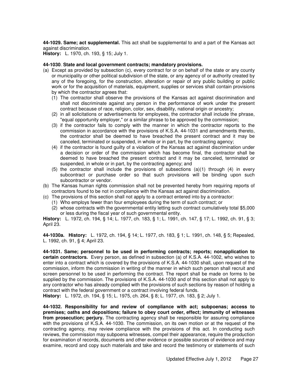**44-1029. Same; act supplemental.** This act shall be supplemental to and a part of the Kansas act against discrimination.

**History:** L. 1970, ch. 193, § 15; July 1.

## **44-1030**. **State and local government contracts; mandatory provisions.**

- (a) Except as provided by subsection (c), every contract for or on behalf of the state or any county or municipality or other political subdivision of the state, or any agency of or authority created by any of the foregoing, for the construction, alteration or repair of any public building or public work or for the acquisition of materials, equipment, supplies or services shall contain provisions by which the contractor agrees that:
	- (1) The contractor shall observe the provisions of the Kansas act against discrimination and shall not discriminate against any person in the performance of work under the present contract because of race, religion, color, sex, disability, national origin or ancestry;
	- (2) in all solicitations or advertisements for employees, the contractor shall include the phrase, "equal opportunity employer," or a similar phrase to be approved by the commission;
	- (3) if the contractor fails to comply with the manner in which the contractor reports to the commission in accordance with the provisions of K.S.A. 44-1031 and amendments thereto, the contractor shall be deemed to have breached the present contract and it may be canceled, terminated or suspended, in whole or in part, by the contracting agency;
	- (4) if the contractor is found guilty of a violation of the Kansas act against discrimination under a decision or order of the commission which has become final, the contractor shall be deemed to have breached the present contract and it may be canceled, terminated or suspended, in whole or in part, by the contracting agency; and
	- (5) the contractor shall include the provisions of subsections (a)(1) through (4) in every subcontract or purchase order so that such provisions will be binding upon such subcontractor or vendor.
- (b) The Kansas human rights commission shall not be prevented hereby from requiring reports of contractors found to be not in compliance with the Kansas act against discrimination.
- (c) The provisions of this section shall not apply to a contract entered into by a contractor:
	- (1) Who employs fewer than four employees during the term of such contract; or
		- (2) whose contracts with the governmental entity letting such contract cumulatively total \$5,000 or less during the fiscal year of such governmental entity.

**History:** L. 1972, ch. 194, § 14; L. 1977, ch. 183, § 1; L. 1991, ch. 147, § 17; L. 1992, ch. 91, § 3; April 23.

**44-1030a. History:** L. 1972, ch. 194, § 14; L. 1977, ch. 183, § 1; L. 1991, ch. 148, § 5; Repealed, L. 1992, ch. 91, § 4; April 23.

**44-1031. Same; personnel to be used in performing contracts; reports; nonapplication to certain contractors.** Every person, as defined in subsection (a) of K.S.A. 44-1002, who wishes to enter into a contract which is covered by the provisions of K.S.A. 44-1030 shall, upon request of the commission, inform the commission in writing of the manner in which such person shall recruit and screen personnel to be used in performing the contract. The report shall be made on forms to be supplied by the commission. The provisions of K.S.A. 44-1030 and of this section shall not apply to any contractor who has already complied with the provisions of such sections by reason of holding a contract with the federal government or a contract involving federal funds.

**History:** L. 1972, ch. 194, § 15; L. 1975, ch. 264, § 8; L. 1977, ch. 183, § 2; July 1.

**44-1032. Responsibility for and review of compliance with act; subpoenas; access to premises; oaths and depositions; failure to obey court order, effect; immunity of witnesses from prosecution; perjury.** The contracting agency shall be responsible for assuring compliance with the provisions of K.S.A. 44-1030. The commission, on its own motion or at the request of the contracting agency, may review compliance with the provisions of this act. In conducting such reviews, the commission may subpoena witnesses, compel their appearance, require the production for examination of records, documents and other evidence or possible sources of evidence and may examine, record and copy such materials and take and record the testimony or statements of such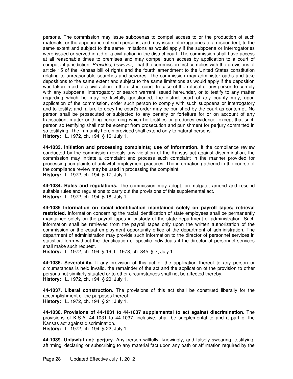persons. The commission may issue subpoenas to compel access to or the production of such materials, or the appearance of such persons, and may issue interrogatories to a respondent, to the same extent and subject to the same limitations as would apply if the subpoena or interrogatories were issued or served in aid of a civil action in the district court. The commission shall have access at all reasonable times to premises and may compel such access by application to a court of competent jurisdiction: Provided, however, That the commission first complies with the provisions of article 15 of the Kansas bill of rights and the fourth amendment to the United States constitution relating to unreasonable searches and seizures. The commission may administer oaths and take depositions to the same extent and subject to the same limitations as would apply if the deposition was taken in aid of a civil action in the district court. In case of the refusal of any person to comply with any subpoena, interrogatory or search warrant issued hereunder, or to testify to any matter regarding which he may be lawfully questioned, the district court of any county may, upon application of the commission, order such person to comply with such subpoena or interrogatory and to testify; and failure to obey the court's order may be punished by the court as contempt. No person shall be prosecuted or subjected to any penalty or forfeiture for or on account of any transaction, matter or thing concerning which he testifies or produces evidence, except that such person so testifying shall not be exempt from prosecution and punishment for perjury committed in so testifying. The immunity herein provided shall extend only to natural persons. **History:** L. 1972, ch. 194, § 16; July 1.

**44-1033. Initiation and processing complaints; use of information.** If the compliance review conducted by the commission reveals any violation of the Kansas act against discrimination, the commission may initiate a complaint and process such complaint in the manner provided for processing complaints of unlawful employment practices. The information gathered in the course of the compliance review may be used in processing the complaint. **History:** L. 1972, ch. 194, § 17; July 1.

**44-1034. Rules and regulations.** The commission may adopt, promulgate, amend and rescind suitable rules and regulations to carry out the provisions of this supplemental act. **History:** L. 1972, ch. 194, § 18; July 1

**44-1035 Information on racial identification maintained solely on payroll tapes; retrieval restricted.** Information concerning the racial identification of state employees shall be permanently maintained solely on the payroll tapes in custody of the state department of administration. Such information shall be retrieved from the payroll tapes only upon the written authorization of the commission or the equal employment opportunity office of the department of administration. The department of administration may provide such information to the director of personnel services in statistical form without the identification of specific individuals if the director of personnel services shall make such request.

**History:** L. 1972, ch. 194, § 19; L. 1978, ch. 345, § 7; July 1.

**44-1036. Severability.** If any provision of this act or the application thereof to any person or circumstances is held invalid, the remainder of the act and the application of the provision to other persons not similarly situated or to other circumstances shall not be affected thereby. **History:** L. 1972, ch. 194, § 20; July 1.

**44-1037. Liberal construction.** The provisions of this act shall be construed liberally for the accomplishment of the purposes thereof. **History:** L. 1972, ch. 194, § 21; July 1.

**44-1038. Provisions of 44-1031 to 44-1037 supplemental to act against discrimination.** The provisions of K.S.A. 44-1031 to 44-1037, inclusive, shall be supplemental to and a part of the Kansas act against discrimination.

**History:** L. 1972, ch. 194, § 22; July 1.

**44-1039. Unlawful act; perjury.** Any person willfully, knowingly, and falsely swearing, testifying, affirming, declaring or subscribing to any material fact upon any oath or affirmation required by the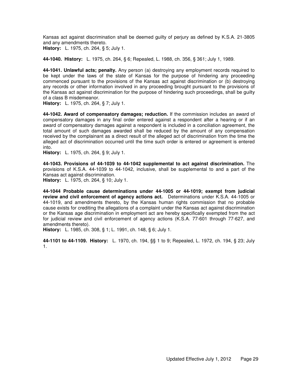Kansas act against discrimination shall be deemed guilty of perjury as defined by K.S.A. 21-3805 and any amendments thereto.

**History:** L. 1975, ch. 264, § 5; July 1.

**44-1040. History:** L. 1975, ch. 264, § 6; Repealed, L. 1988, ch. 356, § 361; July 1, 1989.

**44-1041. Unlawful acts; penalty.** Any person (a) destroying any employment records required to be kept under the laws of the state of Kansas for the purpose of hindering any proceeding commenced pursuant to the provisions of the Kansas act against discrimination or (b) destroying any records or other information involved in any proceeding brought pursuant to the provisions of the Kansas act against discrimination for the purpose of hindering such proceedings, shall be guilty of a class B misdemeanor.

**History:** L. 1975, ch. 264, § 7; July 1.

**44-1042. Award of compensatory damages; reduction.** If the commission includes an award of compensatory damages in any final order entered against a respondent after a hearing or if an award of compensatory damages against a respondent is included in a conciliation agreement, the total amount of such damages awarded shall be reduced by the amount of any compensation received by the complainant as a direct result of the alleged act of discrimination from the time the alleged act of discrimination occurred until the time such order is entered or agreement is entered into.

**History:** L. 1975, ch. 264, § 9; July 1.

**44-1043. Provisions of 44-1039 to 44-1042 supplemental to act against discrimination.** The provisions of K.S.A. 44-1039 to 44-1042, inclusive, shall be supplemental to and a part of the Kansas act against discrimination.

**History:** L. 1975, ch. 264, § 10; July 1.

**44-1044 Probable cause determinations under 44-1005 or 44-1019; exempt from judicial review and civil enforcement of agency actions act.** Determinations under K.S.A. 44-1005 or 44-1019, and amendments thereto, by the Kansas human rights commission that no probable cause exists for crediting the allegations of a complaint under the Kansas act against discrimination or the Kansas age discrimination in employment act are hereby specifically exempted from the act for judicial review and civil enforcement of agency actions (K.S.A. 77-601 through 77-627, and amendments thereto).

**History:** L. 1985, ch. 308, § 1; L. 1991, ch. 148, § 6; July 1.

**44-1101 to 44-1109. History:** L. 1970, ch. 194, §§ 1 to 9; Repealed, L. 1972, ch. 194, § 23; July 1.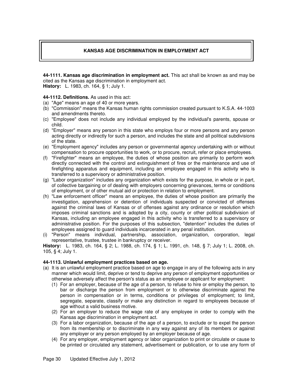# **KANSAS AGE DISCRIMINATION IN EMPLOYMENT ACT**

**44-1111. Kansas age discrimination in employment act.** This act shall be known as and may be cited as the Kansas age discrimination in employment act. **History:** L. 1983, ch. 164, § 1; July 1.

## **44-1112. Definitions.** As used in this act:

- (a) "Age" means an age of 40 or more years.
- (b) "Commission" means the Kansas human rights commission created pursuant to K.S.A. 44-1003 and amendments thereto.
- (c) "Employee" does not include any individual employed by the individual's parents, spouse or child.
- (d) "Employer" means any person in this state who employs four or more persons and any person acting directly or indirectly for such a person, and includes the state and all political subdivisions of the state.
- (e) "Employment agency" includes any person or governmental agency undertaking with or without compensation to procure opportunities to work, or to procure, recruit, refer or place employees.
- (f) "Firefighter" means an employee, the duties of whose position are primarily to perform work directly connected with the control and extinguishment of fires or the maintenance and use of firefighting apparatus and equipment, including an employee engaged in this activity who is transferred to a supervisory or administrative position.
- (g) "Labor organization" includes any organization which exists for the purpose, in whole or in part, of collective bargaining or of dealing with employers concerning grievances, terms or conditions of employment, or of other mutual aid or protection in relation to employment.
- (h) "Law enforcement officer" means an employee, the duties of whose position are primarily the investigation, apprehension or detention of individuals suspected or convicted of offenses against the criminal laws of Kansas or of offenses against any ordinance or resolution which imposes criminal sanctions and is adopted by a city, county or other political subdivision of Kansas, including an employee engaged in this activity who is transferred to a supervisory or administrative position. For the purposes of this subsection, "detention" includes the duties of employees assigned to guard individuals incarcerated in any penal institution.
- (i) "Person" means individual, partnership, association, organization, corporation, legal representative, trustee, trustee in bankruptcy or receiver.

**History:** L. 1983, ch. 164, § 2; L. 1988, ch. 174, § 1; L. 1991, ch. 148, § 7; July 1; L. 2008, ch. 105, § 4; July 1.

## **44-1113. Unlawful employment practices based on age.**

- (a) It is an unlawful employment practice based on age to engage in any of the following acts in any manner which would limit, deprive or tend to deprive any person of employment opportunities or otherwise adversely affect the person's status as an employee or applicant for employment:
	- (1) For an employer, because of the age of a person, to refuse to hire or employ the person, to bar or discharge the person from employment or to otherwise discriminate against the person in compensation or in terms, conditions or privileges of employment; to limit, segregate, separate, classify or make any distinction in regard to employees because of age without a valid business motive.
	- (2) For an employer to reduce the wage rate of any employee in order to comply with the Kansas age discrimination in employment act.
	- (3) For a labor organization, because of the age of a person, to exclude or to expel the person from its membership or to discriminate in any way against any of its members or against any employer or any person employed by an employer because of age.
	- (4) For any employer, employment agency or labor organization to print or circulate or cause to be printed or circulated any statement, advertisement or publication, or to use any form of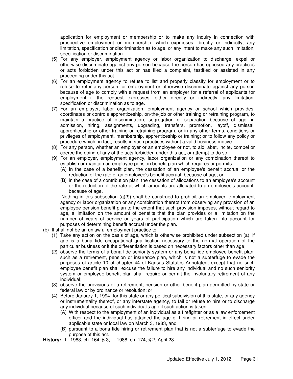application for employment or membership or to make any inquiry in connection with prospective employment or membership, which expresses, directly or indirectly, any limitation, specification or discrimination as to age, or any intent to make any such limitation, specification or discrimination.

- (5) For any employer, employment agency or labor organization to discharge, expel or otherwise discriminate against any person because the person has opposed any practices or acts forbidden under this act or has filed a complaint, testified or assisted in any proceeding under this act.
- (6) For an employment agency to refuse to list and properly classify for employment or to refuse to refer any person for employment or otherwise discriminate against any person because of age to comply with a request from an employer for a referral of applicants for employment if the request expresses, either directly or indirectly, any limitation, specification or discrimination as to age.
- (7) For an employer, labor organization, employment agency or school which provides, coordinates or controls apprenticeship, on-the-job or other training or retraining program, to maintain a practice of discrimination, segregation or separation because of age, in admission, hiring, assignments, upgrading, transfers, promotion, layoff, dismissal, apprenticeship or other training or retraining program, or in any other terms, conditions or privileges of employment, membership, apprenticeship or training; or to follow any policy or procedure which, in fact, results in such practices without a valid business motive.
- (8) For any person, whether an employer or an employee or not, to aid, abet, incite, compel or coerce the doing of any of the acts forbidden under this act, or attempt to do so.
- (9) For an employer, employment agency, labor organization or any combination thereof to establish or maintain an employee pension benefit plan which requires or permits:
	- (A) In the case of a benefit plan, the cessation of an employee's benefit accrual or the reduction of the rate of an employee's benefit accrual, because of age; or
	- (B) in the case of a contribution plan, the cessation of allocations to an employee's account or the reduction of the rate at which amounts are allocated to an employee's account, because of age.

Nothing in this subsection (a)(9) shall be construed to prohibit an employer, employment agency or labor organization or any combination thereof from observing any provision of an employee pension benefit plan to the extent that such provision imposes, without regard to age, a limitation on the amount of benefits that the plan provides or a limitation on the number of years of service or years of participation which are taken into account for purposes of determining benefit accrual under the plan.

- (b) It shall not be an unlawful employment practice to:
	- (1) Take any action on the basis of age, which is otherwise prohibited under subsection (a), if age is a bona fide occupational qualification necessary to the normal operation of the particular business or if the differentiation is based on necessary factors other than age;
	- (2) observe the terms of a bona fide seniority system or any bona fide employee benefit plan, such as a retirement, pension or insurance plan, which is not a subterfuge to evade the purposes of article 10 of chapter 44 of Kansas Statutes Annotated, except that no such employee benefit plan shall excuse the failure to hire any individual and no such seniority system or employee benefit plan shall require or permit the involuntary retirement of any individual;
	- (3) observe the provisions of a retirement, pension or other benefit plan permitted by state or federal law or by ordinance or resolution; or
	- (4) Before January 1, 1994, for this state or any political subdivision of this state, or any agency or instrumentality thereof, or any interstate agency, to fail or refuse to hire or to discharge any individual because of such individual's age if such action is taken:
		- (A) With respect to the employment of an individual as a firefighter or as a law enforcement officer and the individual has attained the age of hiring or retirement in effect under applicable state or local law on March 3, 1983, and
		- (B) pursuant to a bona fide hiring or retirement plan that is not a subterfuge to evade the purpose of this act.

**History:** L. 1983, ch. 164, § 3; L. 1988, ch. 174, § 2; April 28.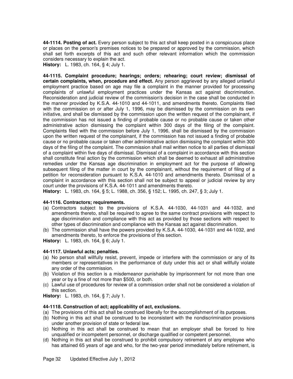**44-1114. Posting of act.** Every person subject to this act shall keep posted in a conspicuous place or places on the person's premises notices to be prepared or approved by the commission, which shall set forth excerpts of this act and such other relevant information which the commission considers necessary to explain the act.

**History:** L. 1983, ch. 164, § 4; July 1.

**44-1115. Complaint procedure; hearings; orders; rehearing; court review; dismissal of certain complaints, when, procedure and effect.** Any person aggrieved by any alleged unlawful employment practice based on age may file a complaint in the manner provided for processing complaints of unlawful employment practices under the Kansas act against discrimination. Reconsideration and judicial review of the commission's decision in the case shall be conducted in the manner provided by K.S.A. 44-1010 and 44-1011, and amendments thereto. Complaints filed with the commission on or after July 1, 1996, may be dismissed by the commission on its own initiative, and shall be dismissed by the commission upon the written request of the complainant, if the commission has not issued a finding of probable cause or no probable cause or taken other administrative action dismissing the complaint within 300 days of the filing of the complaint. Complaints filed with the commission before July 1, 1996, shall be dismissed by the commission upon the written request of the complainant, if the commission has not issued a finding of probable cause or no probable cause or taken other administrative action dismissing the complaint within 300 days of the filing of the complaint. The commission shall mail written notice to all parties of dismissal of a complaint within five days of dismissal. Dismissal of a complaint in accordance with this section shall constitute final action by the commission which shall be deemed to exhaust all administrative remedies under the Kansas age discrimination in employment act for the purpose of allowing subsequent filing of the matter in court by the complainant, without the requirement of filing of a petition for reconsideration pursuant to K.S.A. 44-1010 and amendments thereto. Dismissal of a complaint in accordance with this section shall not be subject to appeal or judicial review by any court under the provisions of K.S.A. 44-1011 and amendments thereto.

**History:** L. 1983, ch. 164, § 5; L. 1988, ch. 356, § 152; L. 1995, ch. 247, § 3; July 1.

## **44-1116. Contractors; requirements.**

- (a) Contractors subject to the provisions of K.S.A. 44-1030, 44-1031 and 44-1032, and amendments thereto, shall be required to agree to the same contract provisions with respect to age discrimination and compliance with this act as provided by those sections with respect to other types of discrimination and compliance with the Kansas act against discrimination.
- (b) The commission shall have the powers provided by K.S.A. 44-1030, 44-1031 and 44-1032, and amendments thereto, to enforce the provisions of this section.

**History:** L. 1983, ch. 164, § 6; July 1.

## **44-1117. Unlawful acts; penalties.**

- (a) No person shall willfully resist, prevent, impede or interfere with the commission or any of its members or representatives in the performance of duty under this act or shall willfully violate any order of the commission.
- (b) Violation of this section is a misdemeanor punishable by imprisonment for not more than one year or by a fine of not more than \$500, or both.
- (c) Lawful use of procedures for review of a commission order shall not be considered a violation of this section.

**History:** L. 1983, ch. 164, § 7; July 1.

## **44-1118. Construction of act; applicability of act, exclusions.**

- (a) The provisions of this act shall be construed liberally for the accomplishment of its purposes.
- (b) Nothing in this act shall be construed to be inconsistent with the nondiscrimination provisions under another provision of state or federal law.
- (c) Nothing in this act shall be construed to mean that an employer shall be forced to hire unqualified or incompetent personnel, or discharge qualified or competent personnel.
- (d) Nothing in this act shall be construed to prohibit compulsory retirement of any employee who has attained 65 years of age and who, for the two-year period immediately before retirement, is